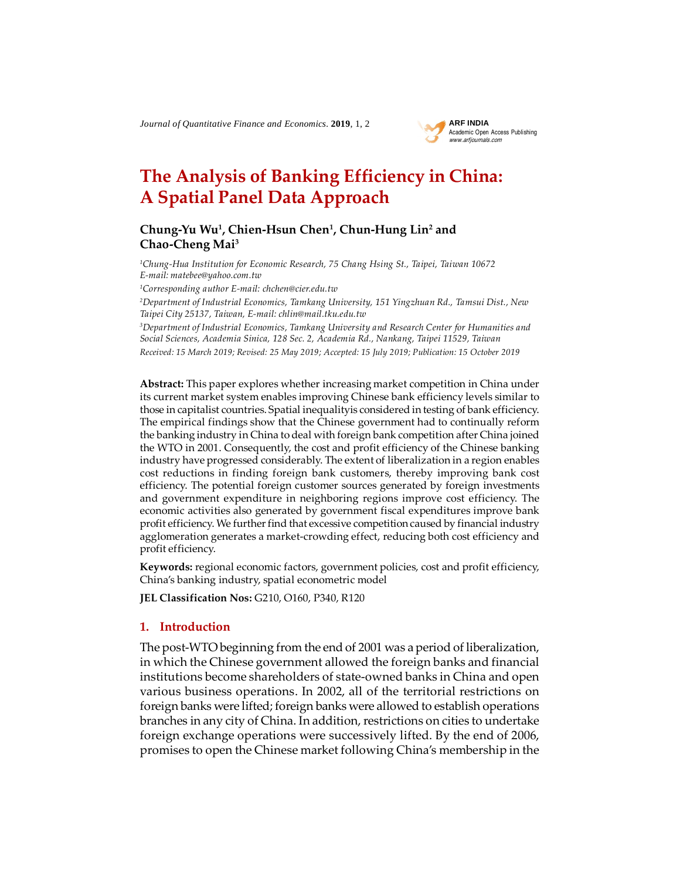*Journal of Quantitative Finance and Economics.* **2019**, 1, 2 **ARF INDIA**



# **The Analysis of Banking Efficiency in China: A Spatial Panel Data Approach**

# **Chung-Yu Wu½ Chien-Hsun Chen½, Chun-Hung Lin² and Chao-Cheng Mai<sup>3</sup>**

*1 ChungHua Institution for Economic Research, 75 Chang Hsing St., Taipei, Taiwan 10672 Email: matebee@yahoo.com.tw*

*1 Corresponding author Email: chchen@cier.edu.tw*

*2 Department of Industrial Economics, Tamkang University, 151 Yingzhuan Rd., Tamsui Dist., New Taipei City 25137, Taiwan, Email: chlin@mail.tku.edu.tw*

*3 Department of Industrial Economics, Tamkang University and Research Center for Humanities and Social Sciences, Academia Sinica, 128 Sec. 2, Academia Rd., Nankang, Taipei 11529, Taiwan Received: 15 March 2019; Revised: 25 May 2019; Accepted: 15 July 2019; Publication: 15 October 2019*

**Abstract:** This paper explores whether increasing market competition in China under its current market system enables improving Chinese bank efficiency levels similar to those in capitalist countries. Spatial inequalityis considered in testing of bank efficiency. The empirical findings show that the Chinese government had to continually reform the banking industry in China to deal with foreign bank competition after China joined the WTO in 2001. Consequently, the cost and profit efficiency of the Chinese banking industry have progressed considerably. The extent of liberalization in a region enables cost reductions in finding foreign bank customers, thereby improving bank cost efficiency. The potential foreign customer sources generated by foreign investments and government expenditure in neighboring regions improve cost efficiency. The economic activities also generated by government fiscal expenditures improve bank profit efficiency. We further find that excessive competition caused by financial industry agglomeration generates a market-crowding effect, reducing both cost efficiency and profit efficiency.

**Keywords:** regional economic factors, government policies, cost and profit efficiency, China's banking industry, spatial econometric model

**JEL Classification Nos:** G210, O160, P340, R120

#### **1. Introduction**

The post-WTO beginning from the end of 2001 was a period of liberalization, in which the Chinese government allowed the foreign banks and financial institutions become shareholders of state-owned banks in China and open various business operations. In 2002, all of the territorial restrictions on foreign banks were lifted; foreign banks were allowed to establish operations branches in any city of China. In addition, restrictions on cities to undertake foreign exchange operations were successively lifted. By the end of 2006, promises to open the Chinese market following China's membership in the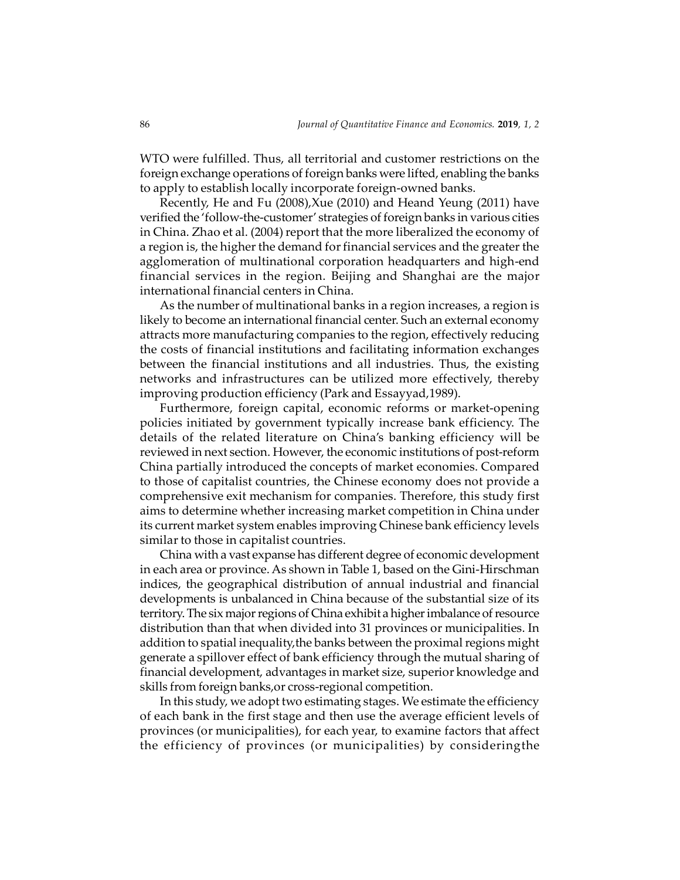WTO were fulfilled. Thus, all territorial and customer restrictions on the foreign exchange operations of foreign banks were lifted, enabling the banks to apply to establish locally incorporate foreign-owned banks.

Recently, He and Fu (2008),Xue (2010) and Heand Yeung (2011) have verified the 'follow-the-customer' strategies of foreign banks in various cities in China. Zhao et al. (2004) report that the more liberalized the economy of a region is, the higher the demand for financial services and the greater the agglomeration of multinational corporation headquarters and high-end financial services in the region. Beijing and Shanghai are the major international financial centers in China.

As the number of multinational banks in a region increases, a region is likely to become an international financial center. Such an external economy attracts more manufacturing companies to the region, effectively reducing the costs of financial institutions and facilitating information exchanges between the financial institutions and all industries. Thus, the existing networks and infrastructures can be utilized more effectively, thereby improving production efficiency (Park and Essayyad,1989).

Furthermore, foreign capital, economic reforms or market-opening policies initiated by government typically increase bank efficiency. The details of the related literature on China's banking efficiency will be reviewed in next section. However, the economic institutions of postreform China partially introduced the concepts of market economies. Compared to those of capitalist countries, the Chinese economy does not provide a comprehensive exit mechanism for companies. Therefore, this study first aims to determine whether increasing market competition in China under its current market system enables improving Chinese bank efficiency levels similar to those in capitalist countries.

China with a vast expanse has different degree of economic development in each area or province. As shown in Table 1, based on the Gini-Hirschman indices, the geographical distribution of annual industrial and financial developments is unbalanced in China because of the substantial size of its territory. The six major regions of China exhibit a higher imbalance of resource distribution than that when divided into 31 provinces or municipalities. In addition to spatial inequality,the banks between the proximal regions might generate a spillover effect of bank efficiency through the mutual sharing of financial development, advantages in market size, superior knowledge and skills from foreign banks, or cross-regional competition.

In this study, we adopt two estimating stages. We estimate the efficiency of each bank in the first stage and then use the average efficient levels of provinces (or municipalities), for each year, to examine factors that affect the efficiency of provinces (or municipalities) by consideringthe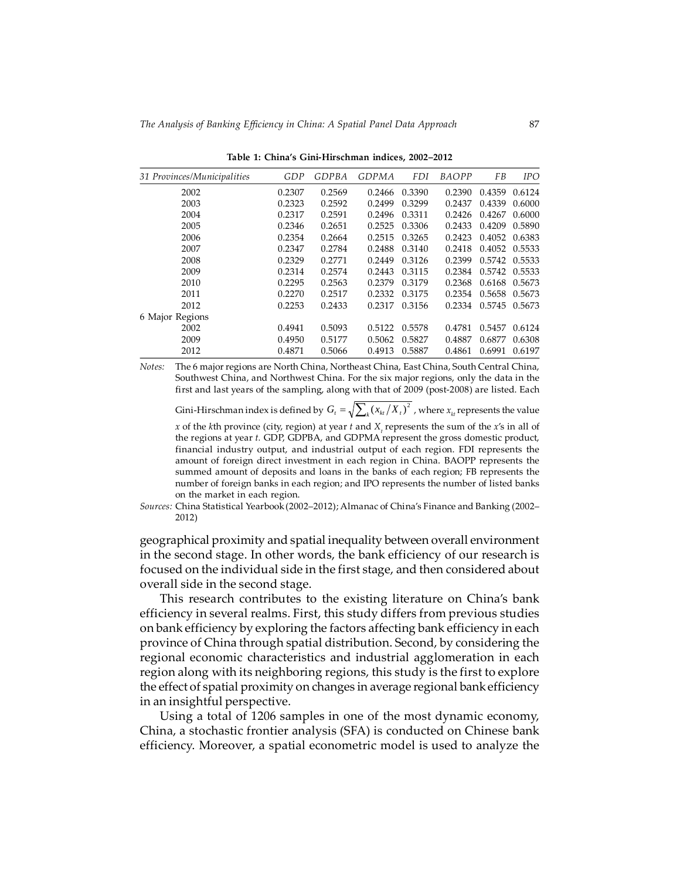| 31 Provinces/Municipalities | GDP    | <b>GDPBA</b> | <b>GDPMA</b> | <b>FDI</b> | <b>BAOPP</b> | FB     | $_{IPO}$ |
|-----------------------------|--------|--------------|--------------|------------|--------------|--------|----------|
| 2002                        | 0.2307 | 0.2569       | 0.2466       | 0.3390     | 0.2390       | 0.4359 | 0.6124   |
| 2003                        | 0.2323 | 0.2592       | 0.2499       | 0.3299     | 0.2437       | 0.4339 | 0.6000   |
| 2004                        | 0.2317 | 0.2591       | 0.2496       | 0.3311     | 0.2426       | 0.4267 | 0.6000   |
| 2005                        | 0.2346 | 0.2651       | 0.2525       | 0.3306     | 0.2433       | 0.4209 | 0.5890   |
| 2006                        | 0.2354 | 0.2664       | 0.2515       | 0.3265     | 0.2423       | 0.4052 | 0.6383   |
| 2007                        | 0.2347 | 0.2784       | 0.2488       | 0.3140     | 0.2418       | 0.4052 | 0.5533   |
| 2008                        | 0.2329 | 0.2771       | 0.2449       | 0.3126     | 0.2399       | 0.5742 | 0.5533   |
| 2009                        | 0.2314 | 0.2574       | 0.2443       | 0.3115     | 0.2384       | 0.5742 | 0.5533   |
| 2010                        | 0.2295 | 0.2563       | 0.2379       | 0.3179     | 0.2368       | 0.6168 | 0.5673   |
| 2011                        | 0.2270 | 0.2517       | 0.2332       | 0.3175     | 0.2354       | 0.5658 | 0.5673   |
| 2012                        | 0.2253 | 0.2433       | 0.2317       | 0.3156     | 0.2334       | 0.5745 | 0.5673   |
| 6 Major Regions             |        |              |              |            |              |        |          |
| 2002                        | 0.4941 | 0.5093       | 0.5122       | 0.5578     | 0.4781       | 0.5457 | 0.6124   |
| 2009                        | 0.4950 | 0.5177       | 0.5062       | 0.5827     | 0.4887       | 0.6877 | 0.6308   |
| 2012                        | 0.4871 | 0.5066       | 0.4913       | 0.5887     | 0.4861       | 0.6991 | 0.6197   |

Table 1: China's Gini-Hirschman indices, 2002-2012

*Notes:* The 6 major regions are North China, Northeast China, East China, South Central China, Southwest China, and Northwest China. For the six major regions, only the data in the first and last years of the sampling, along with that of 2009 (post-2008) are listed. Each

Gini-Hirschman index is defined by  $G_t = \sqrt{\sum_k (x_{kt}/X_t)^2}$  , where  $x_{kt}$  represents the value

*x* of the *k*th province (city, region) at year *t* and  $X$ <sub>*t*</sub> represents the sum of the *x*'s in all of the regions at year *t.* GDP, GDPBA, and GDPMA represent the gross domestic product, financial industry output, and industrial output of each region. FDI represents the amount of foreign direct investment in each region in China. BAOPP represents the summed amount of deposits and loans in the banks of each region; FB represents the number of foreign banks in each region; and IPO represents the number of listed banks on the market in each region.

*Sources:* China Statistical Yearbook (2002–2012); Almanac of China's Finance and Banking (2002– 2012)

geographical proximity and spatial inequality between overall environment in the second stage. In other words, the bank efficiency of our research is focused on the individual side in the first stage, and then considered about overall side in the second stage.

This research contributes to the existing literature on China's bank efficiency in several realms. First, this study differs from previous studies on bank efficiency by exploring the factors affecting bank efficiency in each province of China through spatial distribution. Second, by considering the regional economic characteristics and industrial agglomeration in each region along with its neighboring regions, this study is the first to explore the effect of spatial proximity on changes in average regional bank efficiency in an insightful perspective.

Using a total of 1206 samples in one of the most dynamic economy, China, a stochastic frontier analysis (SFA) is conducted on Chinese bank efficiency. Moreover, a spatial econometric model is used to analyze the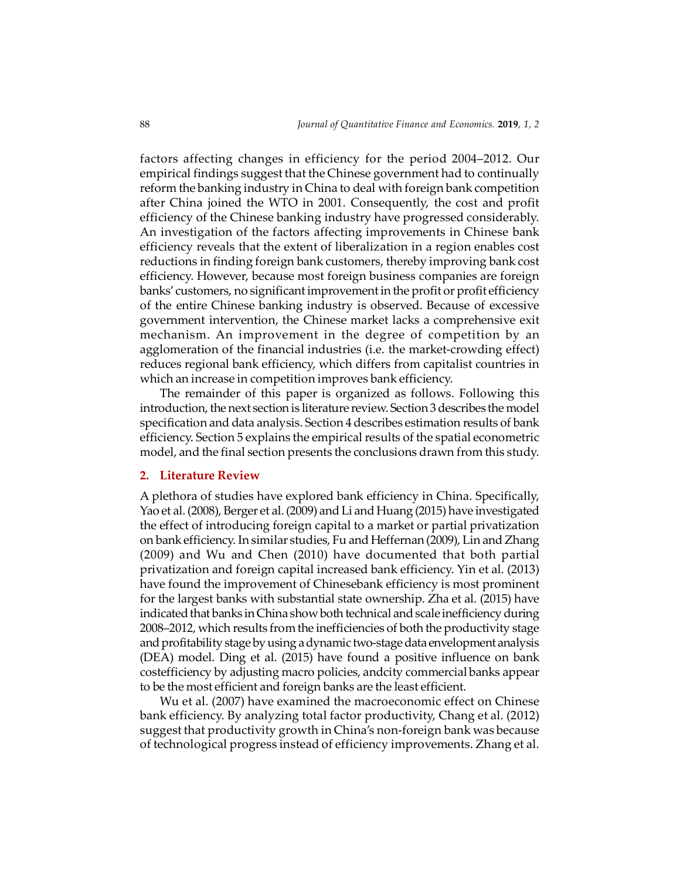factors affecting changes in efficiency for the period 2004–2012. Our empirical findings suggest that the Chinese government had to continually reform the banking industry in China to deal with foreign bank competition after China joined the WTO in 2001. Consequently, the cost and profit efficiency of the Chinese banking industry have progressed considerably. An investigation of the factors affecting improvements in Chinese bank efficiency reveals that the extent of liberalization in a region enables cost reductions in finding foreign bank customers, thereby improving bank cost efficiency. However, because most foreign business companies are foreign banks' customers, no significant improvement in the profit or profit efficiency of the entire Chinese banking industry is observed. Because of excessive government intervention, the Chinese market lacks a comprehensive exit mechanism. An improvement in the degree of competition by an agglomeration of the financial industries (i.e. the market-crowding effect) reduces regional bank efficiency, which differs from capitalist countries in which an increase in competition improves bank efficiency.

The remainder of this paper is organized as follows. Following this introduction, the next section is literature review. Section 3 describes the model specification and data analysis. Section 4 describes estimation results of bank efficiency. Section 5 explains the empirical results of the spatial econometric model, and the final section presents the conclusions drawn from this study.

# **2. Literature Review**

A plethora of studies have explored bank efficiency in China. Specifically, Yao et al. (2008), Berger et al. (2009) and Li and Huang (2015) have investigated the effect of introducing foreign capital to a market or partial privatization on bank efficiency. In similar studies, Fu and Heffernan (2009), Lin and Zhang (2009) and Wu and Chen (2010) have documented that both partial privatization and foreign capital increased bank efficiency. Yin et al. (2013) have found the improvement of Chinesebank efficiency is most prominent for the largest banks with substantial state ownership. Zha et al. (2015) have indicated that banks in China show both technical and scale inefficiency during 2008–2012, which results from the inefficiencies of both the productivity stage and profitability stage by using a dynamic two-stage data envelopment analysis (DEA) model. Ding et al. (2015) have found a positive influence on bank costefficiency by adjusting macro policies, andcity commercial banks appear to be the most efficient and foreign banks are the least efficient.

Wu et al. (2007) have examined the macroeconomic effect on Chinese bank efficiency. By analyzing total factor productivity, Chang et al. (2012) suggest that productivity growth in China's non-foreign bank was because of technological progress instead of efficiency improvements. Zhang et al.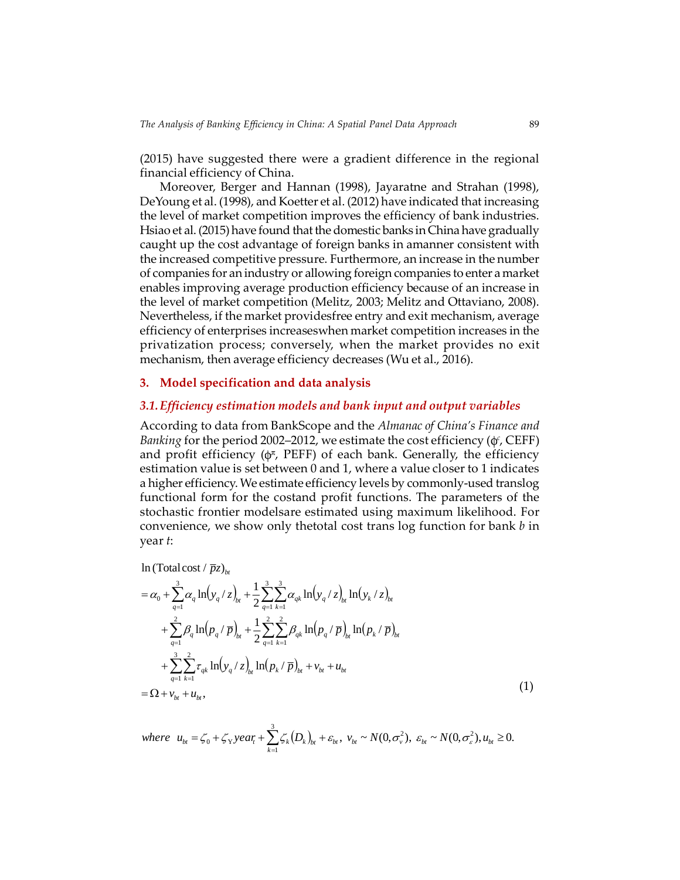(2015) have suggested there were a gradient difference in the regional financial efficiency of China.

Moreover, Berger and Hannan (1998), Jayaratne and Strahan (1998), DeYoung et al. (1998), and Koetter et al. (2012) have indicated that increasing the level of market competition improves the efficiency of bank industries. Hsiao et al. (2015) have found that the domestic banks in China have gradually caught up the cost advantage of foreign banks in amanner consistent with the increased competitive pressure. Furthermore, an increase in the number of companies for an industry or allowing foreign companies to enter a market enables improving average production efficiency because of an increase in the level of market competition (Melitz, 2003; Melitz and Ottaviano, 2008). Nevertheless, if the market providesfree entry and exit mechanism, average efficiency of enterprises increaseswhen market competition increases in the privatization process; conversely, when the market provides no exit mechanism, then average efficiency decreases (Wu et al., 2016).

## **3. Model specification and data analysis**

## *3.1. Efficiency estimation models and bank input and output variables*

According to data from BankScope and the *Almanac of China's Finance and Banking for the period 2002–2012, we estimate the cost efficiency (* $\phi$ *, CEFF)* and profit efficiency ( $\phi^{\pi}$ , PEFF) of each bank. Generally, the efficiency estimation value is set between 0 and 1, where a value closer to 1 indicates a higher efficiency. We estimate efficiency levels by commonly-used translog functional form for the costand profit functions. The parameters of the stochastic frontier modelsare estimated using maximum likelihood. For convenience, we show only thetotal cost trans log function for bank *b* in year *t*:

 $\ln \left( \text{Total cost} \, / \, \overline{p}_z \right)_{bt}$ 

$$
= \alpha_0 + \sum_{q=1}^{3} \alpha_q \ln(y_q / z)_{bt} + \frac{1}{2} \sum_{q=1}^{3} \sum_{k=1}^{3} \alpha_{qk} \ln(y_q / z)_{bt} \ln(y_k / z)_{bt}
$$
  
+ 
$$
\sum_{q=1}^{2} \beta_q \ln(p_q / \overline{p})_{bt} + \frac{1}{2} \sum_{q=1}^{2} \sum_{k=1}^{2} \beta_{qk} \ln(p_q / \overline{p})_{bt} \ln(p_k / \overline{p})_{bt}
$$
  
+ 
$$
\sum_{q=1}^{3} \sum_{k=1}^{2} \tau_{qk} \ln(y_q / z)_{bt} \ln(p_k / \overline{p})_{bt} + v_{bt} + u_{bt}
$$
  
= 
$$
\Omega + v_{bt} + u_{bt},
$$
 (1)

 $\mu_{b} = \zeta_0 + \zeta_{\rm Y}$  year,  $+\sum_{k=1}^{3} \zeta_k(D_k)_{b} + \varepsilon_{b}$ ,  $v_{b} \sim N(0, \sigma_v^2), \ \varepsilon_{b} \sim N(0, \sigma_v^2), u_{b} \ge 0$ . where  $u_{bt} = \zeta_0 + \zeta_Y y e a r_t + \sum_{k=1} \zeta_k (D_k)_{bt} + \varepsilon_{bt}, v_{bt} \sim N(0, \sigma_v^2), \varepsilon_{bt} \sim N(0, \sigma_\varepsilon^2), u_{bt} \ge$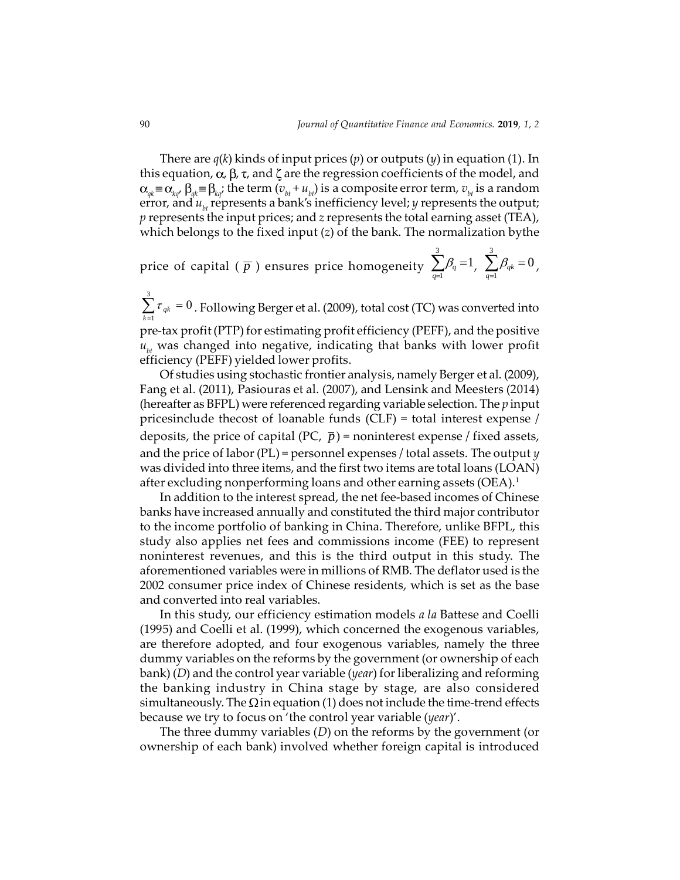There are *q*(*k*) kinds of input prices (*p*) or outputs (*y*) in equation (1). In this equation,  $\alpha$ ,  $\beta$ ,  $\tau$ , and  $\zeta$  are the regression coefficients of the model, and  $\alpha_{ak} \equiv \alpha_{ka'} \beta_{ak} \equiv \beta_{ka'}$ ; the term  $(v_{bt} + u_{bt})$  is a composite error term,  $v_{bt}$  is a random error, and  $u_{\mu}$  represents a bank's inefficiency level; *y* represents the output; *p* represents the input prices; and *z* represents the total earning asset (TEA), which belongs to the fixed input (*z*) of the bank. The normalization bythe

price of capital (  $\overline{p}$  ) ensures price homogeneity  $\sum_{q=1}^3\!\beta_q\!=\!$ 1 1  $\sum_{q=1}^3\beta_q=1$ ,  $\sum_{q=1}^3\beta_{qk}=$ 1 0  $\sum_{q=1}^{\infty}\beta_{qk}=0$  ,

 $\sum_{k=1}^3 {\bf \tau}_{qk} =$ 1 0  $\sum_{k=1}$   $\tau_{qk}$  =  $0$  . Following Berger et al. (2009), total cost (TC) was converted into pre-tax profit (PTP) for estimating profit efficiency (PEFF), and the positive  $u_{i}$  was changed into negative, indicating that banks with lower profit efficiency (PEFF) yielded lower profits.

Of studies using stochastic frontier analysis, namely Berger et al. (2009), Fang et al. (2011), Pasiouras et al. (2007), and Lensink and Meesters (2014) (hereafter as BFPL) were referenced regarding variable selection. The *p* input prices include the cost of loanable funds (CLF) = total interest expense / deposits, the price of capital (PC,  $\bar{p}$ ) = noninterest expense / fixed assets, and the price of labor (PL) = personnel expenses / total assets. The output *y* was divided into three items, and the first two items are total loans (LOAN) after excluding nonperforming loans and other earning assets (OEA).<sup>1</sup>

In addition to the interest spread, the net feebased incomes of Chinese banks have increased annually and constituted the third major contributor to the income portfolio of banking in China. Therefore, unlike BFPL, this study also applies net fees and commissions income (FEE) to represent noninterest revenues, and this is the third output in this study. The aforementioned variables were in millions of RMB. The deflator used is the 2002 consumer price index of Chinese residents, which is set as the base and converted into real variables.

In this study, our efficiency estimation models *a la* Battese and Coelli (1995) and Coelli et al. (1999), which concerned the exogenous variables, are therefore adopted, and four exogenous variables, namely the three dummy variables on the reforms by the government (or ownership of each bank) (*D*) and the control year variable (*year*) for liberalizing and reforming the banking industry in China stage by stage, are also considered simultaneously. The  $\Omega$  in equation (1) does not include the time-trend effects because we try to focus on 'the control year variable (*year*)'.

The three dummy variables (*D*) on the reforms by the government (or ownership of each bank) involved whether foreign capital is introduced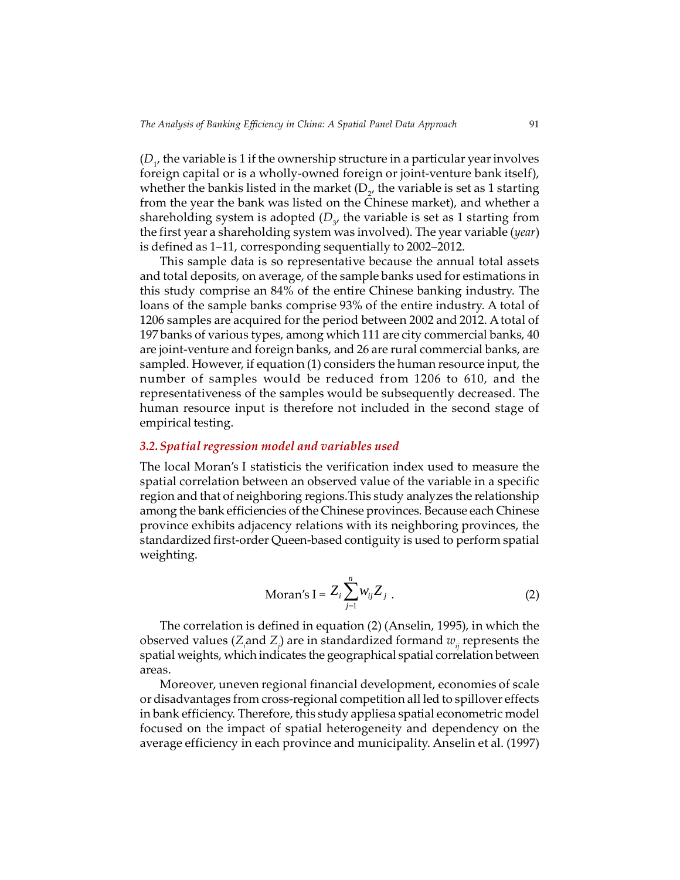$(D_{1'}$  the variable is 1 if the ownership structure in a particular year involves foreign capital or is a wholly-owned foreign or joint-venture bank itself), whether the bankis listed in the market (D<sub>2</sub>, the variable is set as 1 starting from the year the bank was listed on the Chinese market), and whether a shareholding system is adopted ( $D_y$  the variable is set as 1 starting from the first year a shareholding system was involved). The year variable (*year*) is defined as 1–11, corresponding sequentially to 2002–2012.

This sample data is so representative because the annual total assets and total deposits, on average, of the sample banks used for estimations in this study comprise an 84% of the entire Chinese banking industry. The loans of the sample banks comprise 93% of the entire industry. A total of 1206 samples are acquired for the period between 2002 and 2012. A total of 197 banks of various types, among which 111 are city commercial banks, 40 are joint-venture and foreign banks, and 26 are rural commercial banks, are sampled. However, if equation (1) considers the human resource input, the number of samples would be reduced from 1206 to 610, and the representativeness of the samples would be subsequently decreased. The human resource input is therefore not included in the second stage of empirical testing.

#### *3.2. Spatial regression model and variables used*

The local Moran's I statisticis the verification index used to measure the spatial correlation between an observed value of the variable in a specific region and that of neighboring regions.This study analyzes the relationship among the bank efficiencies of the Chinese provinces. Because each Chinese province exhibits adjacency relations with its neighboring provinces, the standardized first-order Queen-based contiguity is used to perform spatial weighting.

$$
\text{Moran's I} = Z_i \sum_{j=1}^{n} w_{ij} Z_j \tag{2}
$$

The correlation is defined in equation (2) (Anselin, 1995), in which the observed values ( $Z_i$ and  $Z_j$ ) are in standardized formand  $w_{_{ij}}$  represents the spatial weights, which indicates the geographical spatial correlation between areas.

Moreover, uneven regional financial development, economies of scale or disadvantages from cross-regional competition all led to spillover effects in bank efficiency. Therefore, this study appliesa spatial econometric model focused on the impact of spatial heterogeneity and dependency on the average efficiency in each province and municipality. Anselin et al. (1997)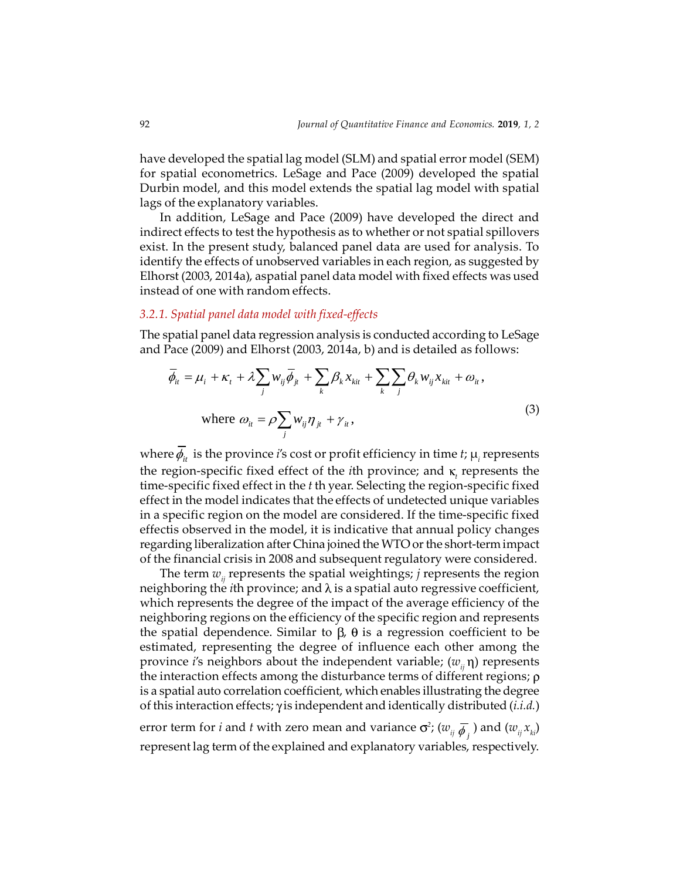have developed the spatial lag model (SLM) and spatial error model (SEM) for spatial econometrics. LeSage and Pace (2009) developed the spatial Durbin model, and this model extends the spatial lag model with spatial lags of the explanatory variables.

In addition, LeSage and Pace (2009) have developed the direct and indirect effects to test the hypothesis as to whether or not spatial spillovers exist. In the present study, balanced panel data are used for analysis. To identify the effects of unobserved variables in each region, as suggested by Elhorst (2003, 2014a), aspatial panel data model with fixed effects was used instead of one with random effects.

# *3.2.1. Spatial panel data model with fixedeffects*

The spatial panel data regression analysis is conducted according to LeSage and Pace (2009) and Elhorst (2003, 2014a, b) and is detailed as follows:

$$
\overline{\phi}_{it} = \mu_i + \kappa_t + \lambda \sum_j w_{ij} \overline{\phi}_{jt} + \sum_k \beta_k x_{kit} + \sum_k \sum_j \theta_k w_{ij} x_{kit} + \omega_{it},
$$
  
where  $\omega_{it} = \rho \sum_j w_{ij} \eta_{jt} + \gamma_{it},$  (3)

where  $\phi_{it}^{\phantom{\dag}}$  is the province *i*'s cost or profit efficiency in time  $t$ ;  $\mu_i^{\phantom{\dag}}$  represents the region-specific fixed effect of the *i*th province; and  $\kappa$ <sub>*t*</sub> represents the time-specific fixed effect in the *t* th year. Selecting the region-specific fixed effect in the model indicates that the effects of undetected unique variables in a specific region on the model are considered. If the time-specific fixed effectis observed in the model, it is indicative that annual policy changes regarding liberalization after China joined the WTO or the short-term impact of the financial crisis in 2008 and subsequent regulatory were considered.

The term  $w_{ij}$  represents the spatial weightings; *j* represents the region neighboring the *i*th province; and  $\lambda$  is a spatial auto regressive coefficient, which represents the degree of the impact of the average efficiency of the neighboring regions on the efficiency of the specific region and represents the spatial dependence. Similar to  $\beta$ ,  $\theta$  is a regression coefficient to be estimated, representing the degree of influence each other among the province *i*'s neighbors about the independent variable;  $(w_{ij} \eta)$  represents the interaction effects among the disturbance terms of different regions; is a spatial auto correlation coefficient, which enables illustrating the degree of this interaction effects;  $\gamma$  is independent and identically distributed (*i.i.d.*) error term for *i* and *t* with zero mean and variance  $\sigma^2$ ;  $(w_{_{ij}}\mathop{\overline{\phi}}_{_j})$  and  $(w_{_{ij}}x_{_{ki}})$ 

represent lag term of the explained and explanatory variables, respectively.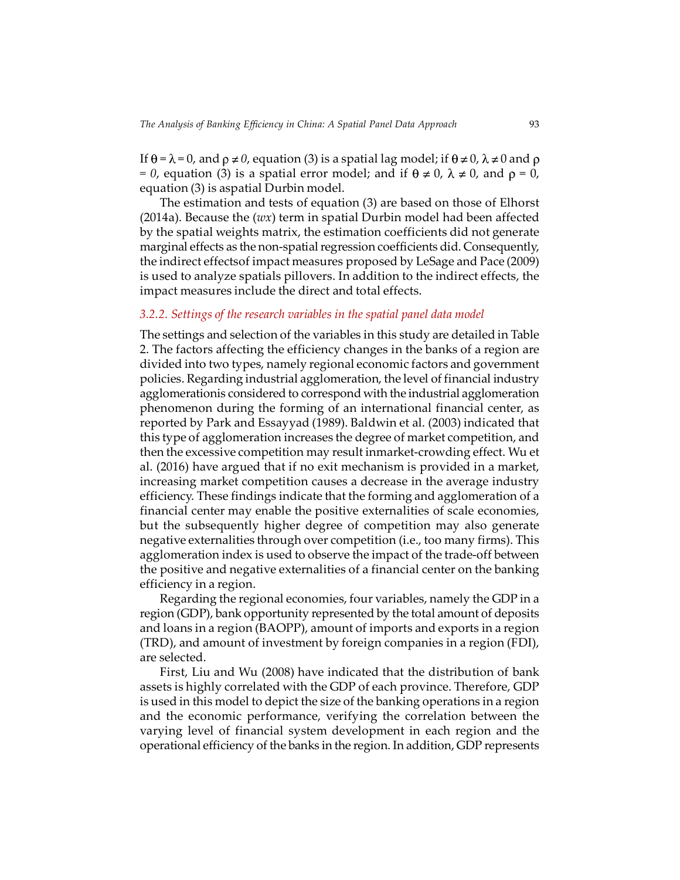If  $\theta = \lambda = 0$ , and  $\rho \neq 0$ , equation (3) is a spatial lag model; if  $\theta \neq 0$ ,  $\lambda \neq 0$  and  $\rho$ *= 0*, equation (3) is a spatial error model; and if  $\theta \neq 0$ ,  $\lambda \neq 0$ , and  $\rho = 0$ , equation (3) is aspatial Durbin model.

The estimation and tests of equation (3) are based on those of Elhorst (2014a). Because the (*wx*) term in spatial Durbin model had been affected by the spatial weights matrix, the estimation coefficients did not generate marginal effects as the non-spatial regression coefficients did. Consequently, the indirect effectsof impact measures proposed by LeSage and Pace (2009) is used to analyze spatials pillovers. In addition to the indirect effects, the impact measures include the direct and total effects.

## *3.2.2. Settings of the research variables in the spatial panel data model*

The settings and selection of the variables in this study are detailed in Table 2. The factors affecting the efficiency changes in the banks of a region are divided into two types, namely regional economic factors and government policies. Regarding industrial agglomeration, the level of financial industry agglomerationis considered to correspond with the industrial agglomeration phenomenon during the forming of an international financial center, as reported by Park and Essayyad (1989). Baldwin et al. (2003) indicated that this type of agglomeration increases the degree of market competition, and then the excessive competition may result inmarket-crowding effect. Wu et al. (2016) have argued that if no exit mechanism is provided in a market, increasing market competition causes a decrease in the average industry efficiency. These findings indicate that the forming and agglomeration of a financial center may enable the positive externalities of scale economies, but the subsequently higher degree of competition may also generate negative externalities through over competition (i.e., too many firms). This agglomeration index is used to observe the impact of the trade-off between the positive and negative externalities of a financial center on the banking efficiency in a region.

Regarding the regional economies, four variables, namely the GDP in a region (GDP), bank opportunity represented by the total amount of deposits and loans in a region (BAOPP), amount of imports and exports in a region (TRD), and amount of investment by foreign companies in a region (FDI), are selected.

First, Liu and Wu (2008) have indicated that the distribution of bank assets is highly correlated with the GDP of each province. Therefore, GDP is used in this model to depict the size of the banking operations in a region and the economic performance, verifying the correlation between the varying level of financial system development in each region and the operational efficiency of the banks in the region. In addition, GDP represents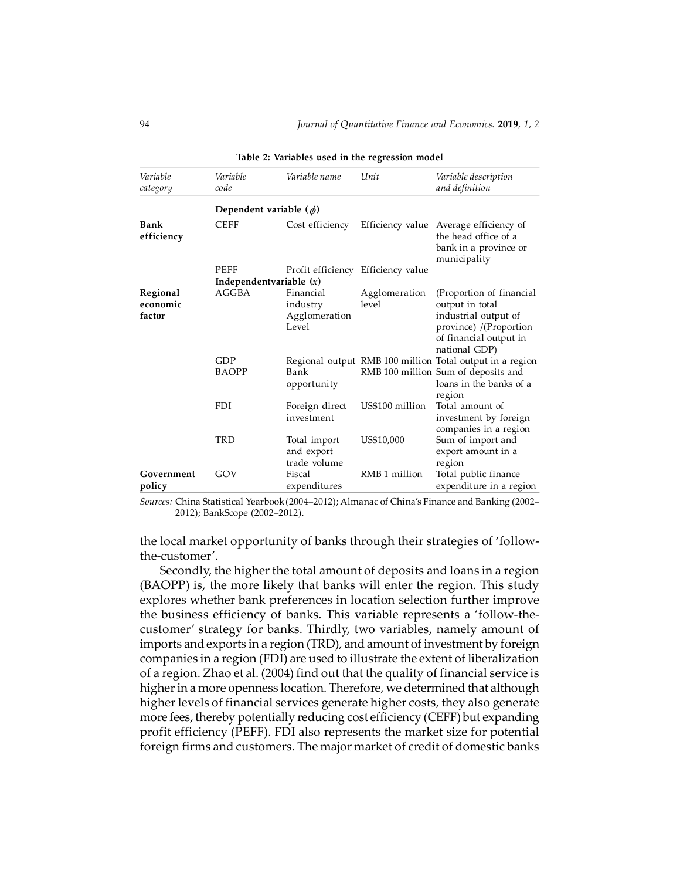| Variable<br>category           | Variable<br>code            | Variable name                                   | Unit                     | Variable description<br>and definition                                                                                                   |
|--------------------------------|-----------------------------|-------------------------------------------------|--------------------------|------------------------------------------------------------------------------------------------------------------------------------------|
|                                | Dependent variable $(\phi)$ |                                                 |                          |                                                                                                                                          |
| Bank<br>efficiency             | <b>CEFF</b>                 | Cost efficiency                                 |                          | Efficiency value Average efficiency of<br>the head office of a<br>bank in a province or<br>municipality                                  |
|                                | <b>PEFF</b>                 | Profit efficiency Efficiency value              |                          |                                                                                                                                          |
|                                | Independent variable $(x)$  |                                                 |                          |                                                                                                                                          |
| Regional<br>economic<br>factor | AGGBA                       | Financial<br>industry<br>Agglomeration<br>Level | Agglomeration<br>level   | (Proportion of financial<br>output in total<br>industrial output of<br>province) /(Proportion<br>of financial output in<br>national GDP) |
|                                | <b>GDP</b><br><b>BAOPP</b>  | Bank<br>opportunity                             |                          | Regional output RMB 100 million Total output in a region<br>RMB 100 million Sum of deposits and<br>loans in the banks of a<br>region     |
|                                | <b>FDI</b>                  | Foreign direct<br>investment                    | US\$100 million          | Total amount of<br>investment by foreign<br>companies in a region                                                                        |
|                                | TRD                         | Total import<br>and export                      | US\$10,000               | Sum of import and<br>export amount in a                                                                                                  |
| Government<br>policy           | GOV                         | trade volume<br>Fiscal<br>expenditures          | RMB <sub>1</sub> million | region<br>Total public finance<br>expenditure in a region                                                                                |

|  |  |  |  |  |  |  |  | Table 2: Variables used in the regression model |  |  |  |
|--|--|--|--|--|--|--|--|-------------------------------------------------|--|--|--|
|--|--|--|--|--|--|--|--|-------------------------------------------------|--|--|--|

*Sources:* China Statistical Yearbook (2004–2012); Almanac of China's Finance and Banking (2002– 2012); BankScope (2002–2012).

the local market opportunity of banks through their strategies of 'followthe-customer'.

Secondly, the higher the total amount of deposits and loans in a region (BAOPP) is, the more likely that banks will enter the region. This study explores whether bank preferences in location selection further improve the business efficiency of banks. This variable represents a 'follow-thecustomer' strategy for banks. Thirdly, two variables, namely amount of imports and exports in a region (TRD), and amount of investment by foreign companies in a region (FDI) are used to illustrate the extent of liberalization of a region. Zhao et al. (2004) find out that the quality of financial service is higher in a more openness location. Therefore, we determined that although higher levels of financial services generate higher costs, they also generate more fees, thereby potentially reducing cost efficiency (CEFF) but expanding profit efficiency (PEFF). FDI also represents the market size for potential foreign firms and customers. The major market of credit of domestic banks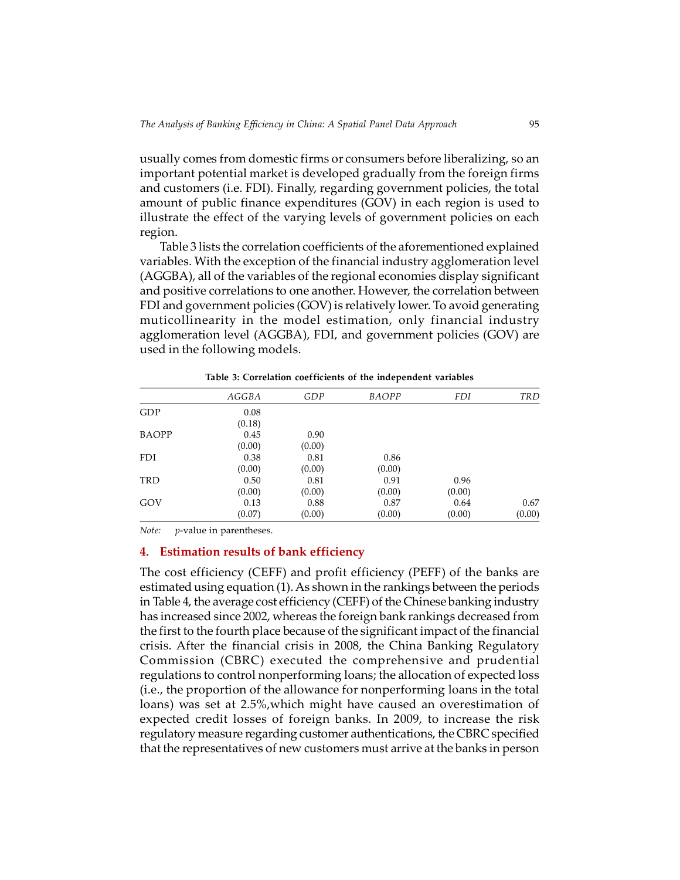usually comes from domestic firms or consumers before liberalizing, so an important potential market is developed gradually from the foreign firms and customers (i.e. FDI). Finally, regarding government policies, the total amount of public finance expenditures (GOV) in each region is used to illustrate the effect of the varying levels of government policies on each region.

Table 3 lists the correlation coefficients of the aforementioned explained variables. With the exception of the financial industry agglomeration level (AGGBA), all of the variables of the regional economies display significant and positive correlations to one another. However, the correlation between FDI and government policies (GOV) is relatively lower. To avoid generating muticollinearity in the model estimation, only financial industry agglomeration level (AGGBA), FDI, and government policies (GOV) are used in the following models.

|              | AGGBA  | GDP    | BAOPP  | FDI    | <b>TRD</b> |
|--------------|--------|--------|--------|--------|------------|
| GDP          | 0.08   |        |        |        |            |
|              | (0.18) |        |        |        |            |
| <b>BAOPP</b> | 0.45   | 0.90   |        |        |            |
|              | (0.00) | (0.00) |        |        |            |
| <b>FDI</b>   | 0.38   | 0.81   | 0.86   |        |            |
|              | (0.00) | (0.00) | (0.00) |        |            |
| TRD          | 0.50   | 0.81   | 0.91   | 0.96   |            |
|              | (0.00) | (0.00) | (0.00) | (0.00) |            |
| GOV          | 0.13   | 0.88   | 0.87   | 0.64   | 0.67       |
|              | (0.07) | (0.00) | (0.00) | (0.00) | (0.00)     |
|              |        |        |        |        |            |

**Table 3: Correlation coefficients of the independent variables**

*Note: p*-value in parentheses.

## **4. Estimation results of bank efficiency**

The cost efficiency (CEFF) and profit efficiency (PEFF) of the banks are estimated using equation (1). As shown in the rankings between the periods in Table 4, the average cost efficiency (CEFF) of the Chinese banking industry has increased since 2002, whereas the foreign bank rankings decreased from the first to the fourth place because of the significant impact of the financial crisis. After the financial crisis in 2008, the China Banking Regulatory Commission (CBRC) executed the comprehensive and prudential regulations to control nonperforming loans; the allocation of expected loss (i.e., the proportion of the allowance for nonperforming loans in the total loans) was set at 2.5%,which might have caused an overestimation of expected credit losses of foreign banks. In 2009, to increase the risk regulatory measure regarding customer authentications, the CBRC specified that the representatives of new customers must arrive at the banks in person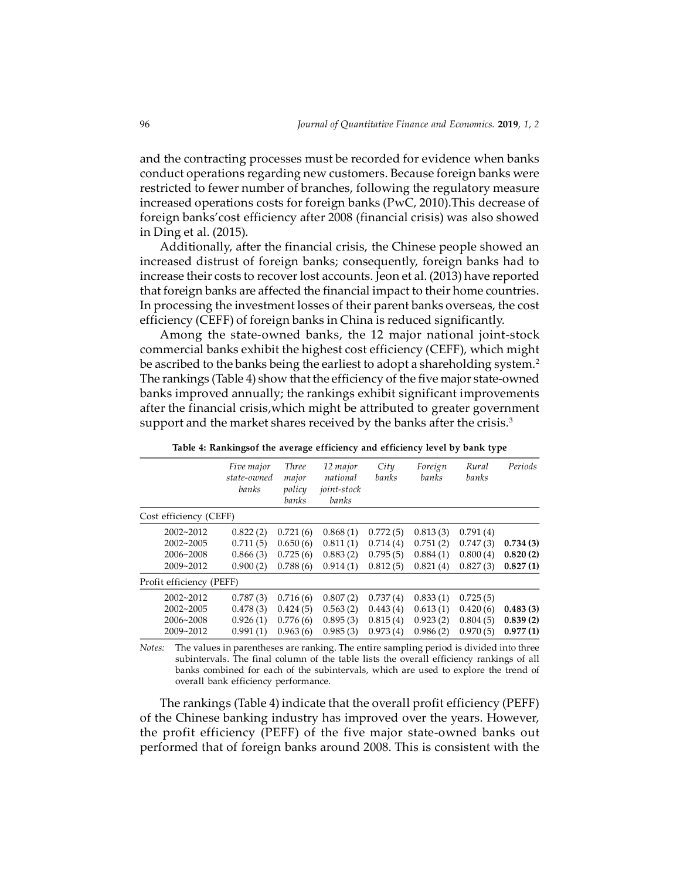and the contracting processes must be recorded for evidence when banks conduct operations regarding new customers. Because foreign banks were restricted to fewer number of branches, following the regulatory measure increased operations costs for foreign banks (PwC, 2010).This decrease of foreign banks'cost efficiency after 2008 (financial crisis) was also showed in Ding et al. (2015).

Additionally, after the financial crisis, the Chinese people showed an increased distrust of foreign banks; consequently, foreign banks had to increase their costs to recover lost accounts. Jeon et al. (2013) have reported that foreign banks are affected the financial impact to their home countries. In processing the investment losses of their parent banks overseas, the cost efficiency (CEFF) of foreign banks in China is reduced significantly.

Among the state-owned banks, the 12 major national joint-stock commercial banks exhibit the highest cost efficiency (CEFF), which might be ascribed to the banks being the earliest to adopt a shareholding system.<sup>2</sup> The rankings (Table 4) show that the efficiency of the five major state-owned banks improved annually; the rankings exhibit significant improvements after the financial crisis,which might be attributed to greater government support and the market shares received by the banks after the crisis.<sup>3</sup>

|                          | Five major<br>state-owned<br>banks | <b>Three</b><br>major<br>policy<br>banks | 12 major<br>national<br>joint-stock<br>banks | City<br>banks | Foreign<br>banks | Rural<br>banks | Periods  |
|--------------------------|------------------------------------|------------------------------------------|----------------------------------------------|---------------|------------------|----------------|----------|
| Cost efficiency (CEFF)   |                                    |                                          |                                              |               |                  |                |          |
| 2002~2012                | 0.822(2)                           | 0.721(6)                                 | 0.868(1)                                     | 0.772(5)      | 0.813(3)         | 0.791(4)       |          |
| 2002~2005                | 0.711(5)                           | 0.650(6)                                 | 0.811(1)                                     | 0.714(4)      | 0.751(2)         | 0.747(3)       | 0.734(3) |
| $2006 - 2008$            | 0.866(3)                           | 0.725(6)                                 | 0.883(2)                                     | 0.795(5)      | 0.884(1)         | 0.800(4)       | 0.820(2) |
| 2009~2012                | 0.900(2)                           | 0.788(6)                                 | 0.914(1)                                     | 0.812(5)      | 0.821(4)         | 0.827(3)       | 0.827(1) |
| Profit efficiency (PEFF) |                                    |                                          |                                              |               |                  |                |          |
| 2002~2012                | 0.787(3)                           | 0.716(6)                                 | 0.807(2)                                     | 0.737(4)      | 0.833(1)         | 0.725(5)       |          |
| 2002~2005                | 0.478(3)                           | 0.424(5)                                 | 0.563(2)                                     | 0.443(4)      | 0.613(1)         | 0.420(6)       | 0.483(3) |
| 2006~2008                | 0.926(1)                           | 0.776(6)                                 | 0.895(3)                                     | 0.815(4)      | 0.923(2)         | 0.804(5)       | 0.839(2) |
| 2009~2012                | 0.991(1)                           | 0.963(6)                                 | 0.985(3)                                     | 0.973(4)      | 0.986(2)         | 0.970(5)       | 0.977(1) |

**Table 4: Rankingsof the average efficiency and efficiency level by bank type**

*Notes:* The values in parentheses are ranking. The entire sampling period is divided into three subintervals. The final column of the table lists the overall efficiency rankings of all banks combined for each of the subintervals, which are used to explore the trend of overall bank efficiency performance.

The rankings (Table 4) indicate that the overall profit efficiency (PEFF) of the Chinese banking industry has improved over the years. However, the profit efficiency (PEFF) of the five major state-owned banks out performed that of foreign banks around 2008. This is consistent with the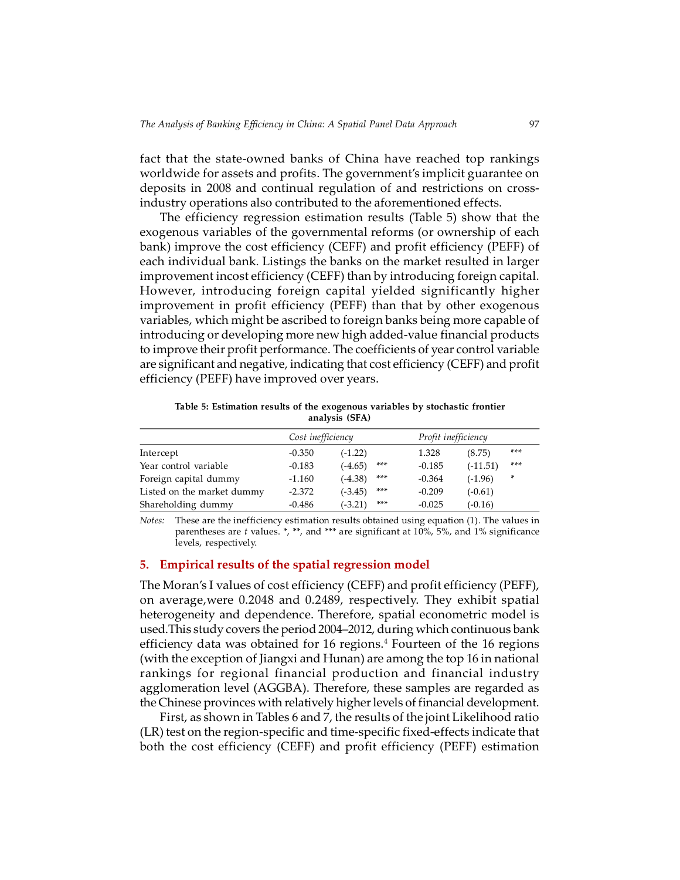fact that the state-owned banks of China have reached top rankings worldwide for assets and profits. The government's implicit guarantee on deposits in 2008 and continual regulation of and restrictions on crossindustry operations also contributed to the aforementioned effects.

The efficiency regression estimation results (Table 5) show that the exogenous variables of the governmental reforms (or ownership of each bank) improve the cost efficiency (CEFF) and profit efficiency (PEFF) of each individual bank. Listings the banks on the market resulted in larger improvement incost efficiency (CEFF) than by introducing foreign capital. However, introducing foreign capital yielded significantly higher improvement in profit efficiency (PEFF) than that by other exogenous variables, which might be ascribed to foreign banks being more capable of introducing or developing more new high added-value financial products to improve their profit performance. The coefficients of year control variable are significant and negative, indicating that cost efficiency (CEFF) and profit efficiency (PEFF) have improved over years.

**Table 5: Estimation results of the exogenous variables by stochastic frontier analysis (SFA)**

|                            | Cost inefficiency |                    | Profit inefficiency |            |       |
|----------------------------|-------------------|--------------------|---------------------|------------|-------|
| Intercept                  | $-0.350$          | $(-1.22)$          | 1.328               | (8.75)     | $***$ |
| Year control variable      | $-0.183$          | $***$<br>$(-4.65)$ | $-0.185$            | $(-11.51)$ | $***$ |
| Foreign capital dummy      | $-1.160$          | $***$<br>$(-4.38)$ | $-0.364$            | $(-1.96)$  | *     |
| Listed on the market dummy | $-2.372$          | $***$<br>$(-3.45)$ | $-0.209$            | $(-0.61)$  |       |
| Shareholding dummy         | $-0.486$          | $***$<br>$(-3.21)$ | $-0.025$            | $(-0.16)$  |       |

*Notes:* These are the inefficiency estimation results obtained using equation (1). The values in parentheses are *t* values. \*, \*\*, and \*\*\* are significant at 10%, 5%, and 1% significance levels, respectively.

## **5. Empirical results of the spatial regression model**

The Moran's I values of cost efficiency (CEFF) and profit efficiency (PEFF), on average,were 0.2048 and 0.2489, respectively. They exhibit spatial heterogeneity and dependence. Therefore, spatial econometric model is used.This study covers the period 2004–2012, during which continuous bank efficiency data was obtained for 16 regions.<sup>4</sup> Fourteen of the 16 regions (with the exception of Jiangxi and Hunan) are among the top 16 in national rankings for regional financial production and financial industry agglomeration level (AGGBA). Therefore, these samples are regarded as the Chinese provinces with relatively higher levels of financial development.

First, as shown in Tables 6 and 7, the results of the joint Likelihood ratio (LR) test on the region-specific and time-specific fixed-effects indicate that both the cost efficiency (CEFF) and profit efficiency (PEFF) estimation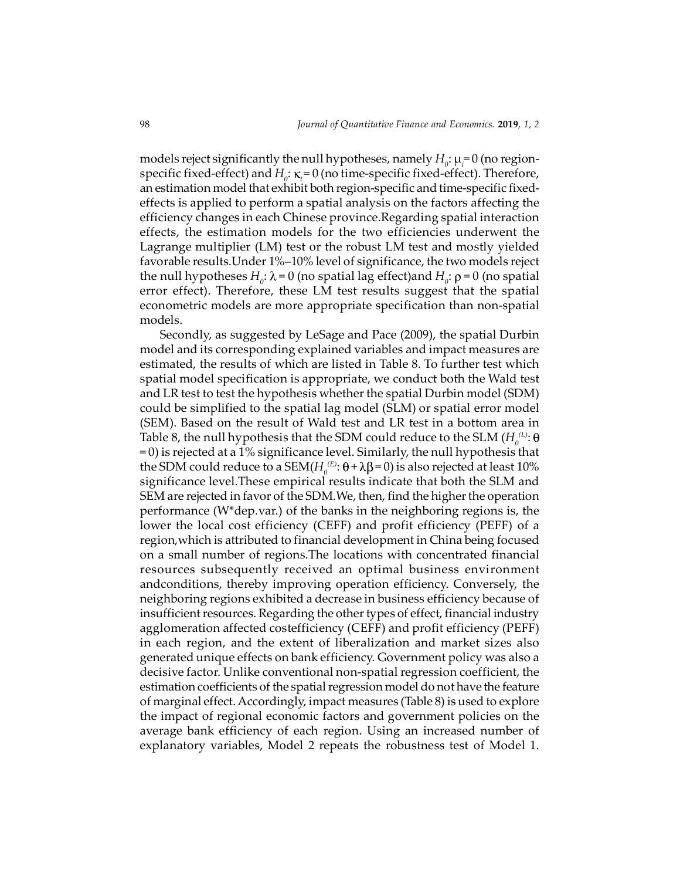models reject significantly the null hypotheses, namely  $H_o$ :  $\mu$  =  $0$  (no region- ${\rm specific\ fixed\textrm{-}effect}$ ) and  $H_o$ :  $\kappa_{\scriptscriptstyle f}$  = 0 (no time-specific fixed-effect). Therefore, an estimation model that exhibit both region-specific and time-specific fixedeffects is applied to perform a spatial analysis on the factors affecting the efficiency changes in each Chinese province.Regarding spatial interaction effects, the estimation models for the two efficiencies underwent the Lagrange multiplier (LM) test or the robust LM test and mostly yielded favorable results.Under 1%–10% level of significance, the two models reject the null hypotheses  $H_o$ :  $\lambda$  = 0 (no spatial lag effect)and  $H_o$ :  $\rho$  = 0 (no spatial error effect). Therefore, these LM test results suggest that the spatial econometric models are more appropriate specification than non-spatial models.

Secondly, as suggested by LeSage and Pace (2009), the spatial Durbin model and its corresponding explained variables and impact measures are estimated, the results of which are listed in Table 8. To further test which spatial model specification is appropriate, we conduct both the Wald test and LR test to test the hypothesis whether the spatial Durbin model (SDM) could be simplified to the spatial lag model (SLM) or spatial error model (SEM). Based on the result of Wald test and LR test in a bottom area in Table 8, the null hypothesis that the SDM could reduce to the SLM  $(H^{(L)}_{0}$ : = 0) is rejected at a 1% significance level. Similarly, the null hypothesis that the SDM could reduce to a SEM( $H_o^{(E)}$ :  $\theta$  +  $\lambda\beta$  = 0) is also rejected at least 10% significance level.These empirical results indicate that both the SLM and SEM are rejected in favor of the SDM.We, then, find the higher the operation performance (W\*dep.var.) of the banks in the neighboring regions is, the lower the local cost efficiency (CEFF) and profit efficiency (PEFF) of a region,which is attributed to financial development in China being focused on a small number of regions.The locations with concentrated financial resources subsequently received an optimal business environment andconditions, thereby improving operation efficiency. Conversely, the neighboring regions exhibited a decrease in business efficiency because of insufficient resources. Regarding the other types of effect, financial industry agglomeration affected costefficiency (CEFF) and profit efficiency (PEFF) in each region, and the extent of liberalization and market sizes also generated unique effects on bank efficiency. Government policy was also a decisive factor. Unlike conventional non-spatial regression coefficient, the estimation coefficients of the spatial regression model do not have the feature of marginal effect. Accordingly, impact measures (Table 8) is used to explore the impact of regional economic factors and government policies on the average bank efficiency of each region. Using an increased number of explanatory variables, Model 2 repeats the robustness test of Model 1.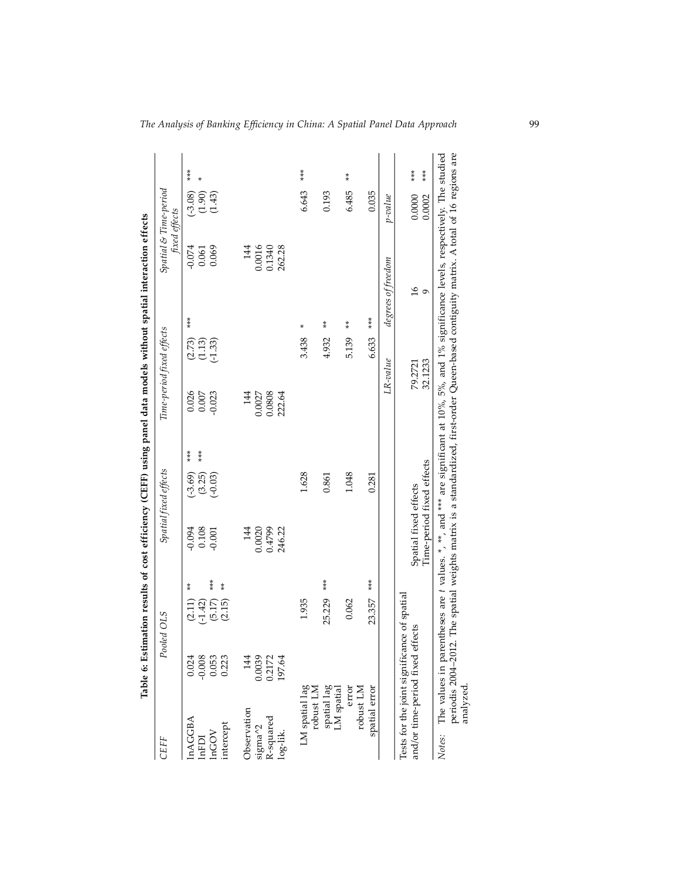|                                                                |                                                                                                                                                                                                                                                                                                |                                                  | Table 6: Estimation results of cost efficiency (CEFF) using panel data models without spatial interaction effects |                                  |            |                                   |                                 |                          |                                        |                                   |              |
|----------------------------------------------------------------|------------------------------------------------------------------------------------------------------------------------------------------------------------------------------------------------------------------------------------------------------------------------------------------------|--------------------------------------------------|-------------------------------------------------------------------------------------------------------------------|----------------------------------|------------|-----------------------------------|---------------------------------|--------------------------|----------------------------------------|-----------------------------------|--------------|
| <b>CEFF</b>                                                    |                                                                                                                                                                                                                                                                                                | Pooled OLS                                       |                                                                                                                   | Spatial fixed effects            |            | Time-period fixed effects         |                                 |                          | Spatial & Time-period<br>fixed effects |                                   |              |
| <b>InAGGBA</b><br>InGOV<br>$ln$ FDI                            | $-0.008$<br>0.053<br>0.024                                                                                                                                                                                                                                                                     | ***<br>$\bf{*}$<br>(5.17)<br>(2.11)<br>$(-1.42)$ | $0.108$<br>$-0.001$<br>$-0.094$                                                                                   | (3.25)<br>$(-3.69)$<br>$(-0.03)$ | ***<br>*** | 0.026<br>$0.007$<br>$-0.023$      | (2.73)<br>$(1.13)$<br>$(-1.33)$ | ****                     | $-0.074$<br>0.061<br>0.069             | $(1.90)$<br>$(1.43)$<br>$(-3.08)$ | ***<br>×     |
| intercept                                                      | 0.223                                                                                                                                                                                                                                                                                          | $\ddot{*}$<br>(2.15)                             |                                                                                                                   |                                  |            |                                   |                                 |                          |                                        |                                   |              |
| Observation<br>R-squared<br>sigma <sup>^2</sup><br>$log-1$ ik. | 144<br>0.0039<br>0.2172<br>197.64                                                                                                                                                                                                                                                              |                                                  | 144<br>0.0020<br>0.4799<br>246.22                                                                                 |                                  |            | 144<br>0.0027<br>0.0808<br>222.64 |                                 |                          | 0.0016<br>144<br>0.1340<br>262.28      |                                   |              |
| ${\rm LM}$ spatial lag robust ${\rm LM}$                       |                                                                                                                                                                                                                                                                                                | 1.935                                            |                                                                                                                   | 1.628                            |            |                                   | 3.438                           | *                        |                                        | 6.643                             | ***          |
| spatial lag<br>LM spatial                                      |                                                                                                                                                                                                                                                                                                | 25.229 ***                                       |                                                                                                                   | 0.861                            |            |                                   | 4.932                           | $*$                      |                                        | 0.193                             |              |
| robust LM                                                      | error                                                                                                                                                                                                                                                                                          | 0.062                                            |                                                                                                                   | 1.048                            |            |                                   | 5.139                           | $*$                      |                                        | 6.485                             | $*$          |
| spatial error                                                  |                                                                                                                                                                                                                                                                                                | $***$<br>23.357                                  |                                                                                                                   | 0.281                            |            |                                   | 6.633 ***                       |                          |                                        | 0.035                             |              |
|                                                                |                                                                                                                                                                                                                                                                                                |                                                  |                                                                                                                   |                                  |            | LR-value                          |                                 | degrees of freedom       |                                        | $p$ -value                        |              |
|                                                                | Tests for the joint significance of spatial                                                                                                                                                                                                                                                    |                                                  |                                                                                                                   |                                  |            |                                   |                                 |                          |                                        |                                   |              |
|                                                                | and/or time-period fixed                                                                                                                                                                                                                                                                       | effects                                          | Spatial fixed effects                                                                                             | Time-period fixed effects        |            | 32.1233<br>79.2721                |                                 | $\frac{1}{6}$<br>$\circ$ |                                        | 0.0000<br>0.0002                  | $***$<br>*** |
| Notes:                                                         | The values in parentheses are t values. *, **, and *** are significant at 10%, 5%, and 1% significance levels, respectively. The studied<br>periodis 2004-2012. The spatial weights matrix is a standardized, first-order Queen-based contiguity matrix. A total of 16 regions are<br>analyzed |                                                  |                                                                                                                   |                                  |            |                                   |                                 |                          |                                        |                                   |              |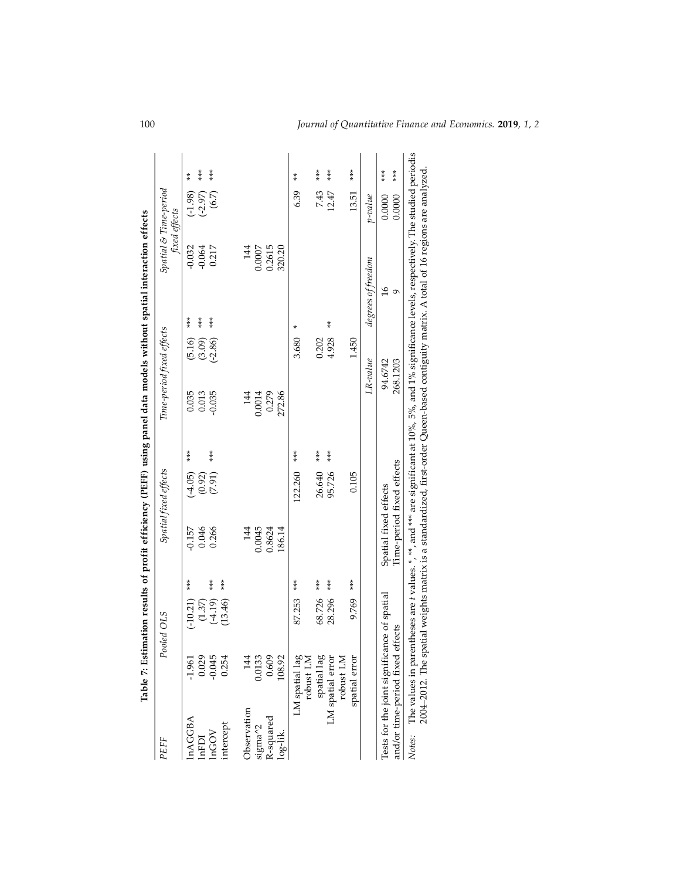|                                                                         |                                              |                                                                     |                                                    |                                                 | Table 7: Estimation results of profit efficiency (PEFF) using panel data models without spatial interaction effects                                                                                                                                                                                 |                               |                    |                                        |                                 |                            |
|-------------------------------------------------------------------------|----------------------------------------------|---------------------------------------------------------------------|----------------------------------------------------|-------------------------------------------------|-----------------------------------------------------------------------------------------------------------------------------------------------------------------------------------------------------------------------------------------------------------------------------------------------------|-------------------------------|--------------------|----------------------------------------|---------------------------------|----------------------------|
| PEFF                                                                    |                                              | Pooled OLS                                                          |                                                    | Spatial fixed effects                           |                                                                                                                                                                                                                                                                                                     | Time-period fixed effects     |                    | Spatial & Time-period<br>fixed effects |                                 |                            |
| <b>InAGGBA</b><br>intercept<br>InGV<br>lnFDI                            | 0.029<br>$-0.045$<br>0.254<br>$-1.961$       | $***$<br>***<br>***<br>(13.46)<br>$(-4.19)$<br>$(-10.21)$<br>(1.37) | 0.046<br>0.266<br>$-0.157$                         | $***$<br>$***$<br>(7.91)<br>$(-4.05)$<br>(0.92) | 0.035<br>$-0.035$<br>0.013                                                                                                                                                                                                                                                                          | (3.09)<br>$(-2.86)$<br>(5.16) | ***<br>***<br>**** | $-0.032$<br>$-0.064$<br>0.217          | $(-1.98)$<br>$(-2.97)$<br>(6.7) | $***$<br>***<br>$\ddot{*}$ |
| Observation<br>R-squared<br>sigma <sup>^2</sup><br>log-lik.             | 0.609<br>144<br>0.0133<br>108.92             |                                                                     | 144<br>0.0045<br>0.8624<br>186.14                  |                                                 | 0.279<br>144<br>0.0014<br>272.86                                                                                                                                                                                                                                                                    |                               |                    | 0.2615<br>0.0007<br>320.20<br>144      |                                 |                            |
|                                                                         | ${\rm LM}$ spatial lag robust ${\rm LM}$     | $***$<br>87.253                                                     |                                                    | ***<br>122.260                                  |                                                                                                                                                                                                                                                                                                     | 3.680                         |                    |                                        | 6.39                            | $\ddot{*}$                 |
|                                                                         | spatial lag<br>robust LM<br>LM spatial error | 68.726 ***<br>$***$<br>28.296                                       |                                                    | $***$<br>***<br>26.640<br>95.726                |                                                                                                                                                                                                                                                                                                     | 0.202<br>4.928                | *                  |                                        | 7.43<br>12.47                   | ***<br>***                 |
|                                                                         | spatial error                                | 9.769 ***                                                           |                                                    | 0.105                                           |                                                                                                                                                                                                                                                                                                     | 1.450                         |                    |                                        | 13.51                           | $***$                      |
|                                                                         |                                              |                                                                     |                                                    |                                                 |                                                                                                                                                                                                                                                                                                     | LR-value                      | degrees of freedom |                                        | $p$ -value                      |                            |
| Tests for the joint significance of spatial<br>and/or time-period fixed |                                              | effects                                                             | Time-period fixed effects<br>Spatial fixed effects |                                                 |                                                                                                                                                                                                                                                                                                     | 268.1203<br>94.6742           | $\frac{8}{1}$<br>ò |                                        | 0.0000<br>0.0000                | $***$<br>***               |
|                                                                         |                                              |                                                                     |                                                    |                                                 | Notes: The values in parentheses are t values. *, **, and *** are significant at 10%, 5%, and 1% significance levels, respectively. The studied periodis<br>2004–2012. The spatial weights matrix is a standardized, first-order Queen-based contiguity matrix. A total of 16 regions are analyzed. |                               |                    |                                        |                                 |                            |

| )<br>)<br>)<br>)<br>) |                                                                                                                                                                                                                                                                                                                                                     | with a strip of the contract of the state of the state of the state of the state of the state of the state of the state of the state of the state of the state of the state of the state of the state of the state of the stat |
|-----------------------|-----------------------------------------------------------------------------------------------------------------------------------------------------------------------------------------------------------------------------------------------------------------------------------------------------------------------------------------------------|--------------------------------------------------------------------------------------------------------------------------------------------------------------------------------------------------------------------------------|
|                       |                                                                                                                                                                                                                                                                                                                                                     |                                                                                                                                                                                                                                |
|                       |                                                                                                                                                                                                                                                                                                                                                     |                                                                                                                                                                                                                                |
|                       |                                                                                                                                                                                                                                                                                                                                                     |                                                                                                                                                                                                                                |
|                       | and a substitution of the series of the contract of the series of the series of the series of the series of the series of the series of the series of the series of the series of the series of the series of the series of th<br>The values in parentheses are t values. $*$ , $*$ , and $*$ are significant at 10%, 5%, and 1% significance $\ln$ | ardized first-order Oueon-based contimuity matrix A total of 16 regic                                                                                                                                                          |
|                       |                                                                                                                                                                                                                                                                                                                                                     | THE KIND CONDITIONS OF THE STATE CAPABLE CONDITIONS OF THE STATE CAPABLE OF THE STATE OF THE STATE OF THE STATE OF THE STATE OF THE STATE OF THE STATE OF THE STATE OF THE STATE OF THE STATE OF THE STATE OF THE STATE OF THE |
| $\frac{1}{2}$         |                                                                                                                                                                                                                                                                                                                                                     |                                                                                                                                                                                                                                |
|                       |                                                                                                                                                                                                                                                                                                                                                     |                                                                                                                                                                                                                                |
|                       |                                                                                                                                                                                                                                                                                                                                                     |                                                                                                                                                                                                                                |
|                       |                                                                                                                                                                                                                                                                                                                                                     |                                                                                                                                                                                                                                |
|                       |                                                                                                                                                                                                                                                                                                                                                     |                                                                                                                                                                                                                                |
|                       |                                                                                                                                                                                                                                                                                                                                                     |                                                                                                                                                                                                                                |
|                       |                                                                                                                                                                                                                                                                                                                                                     |                                                                                                                                                                                                                                |
|                       |                                                                                                                                                                                                                                                                                                                                                     |                                                                                                                                                                                                                                |
|                       |                                                                                                                                                                                                                                                                                                                                                     |                                                                                                                                                                                                                                |
|                       |                                                                                                                                                                                                                                                                                                                                                     |                                                                                                                                                                                                                                |
|                       |                                                                                                                                                                                                                                                                                                                                                     |                                                                                                                                                                                                                                |
|                       |                                                                                                                                                                                                                                                                                                                                                     |                                                                                                                                                                                                                                |
|                       |                                                                                                                                                                                                                                                                                                                                                     | 2004–2012. The spatial weights matrix is a standr                                                                                                                                                                              |
|                       |                                                                                                                                                                                                                                                                                                                                                     |                                                                                                                                                                                                                                |
|                       |                                                                                                                                                                                                                                                                                                                                                     |                                                                                                                                                                                                                                |

# 100 *Journal of Quantitative Finance and Economics.* **2019***, 1, 2*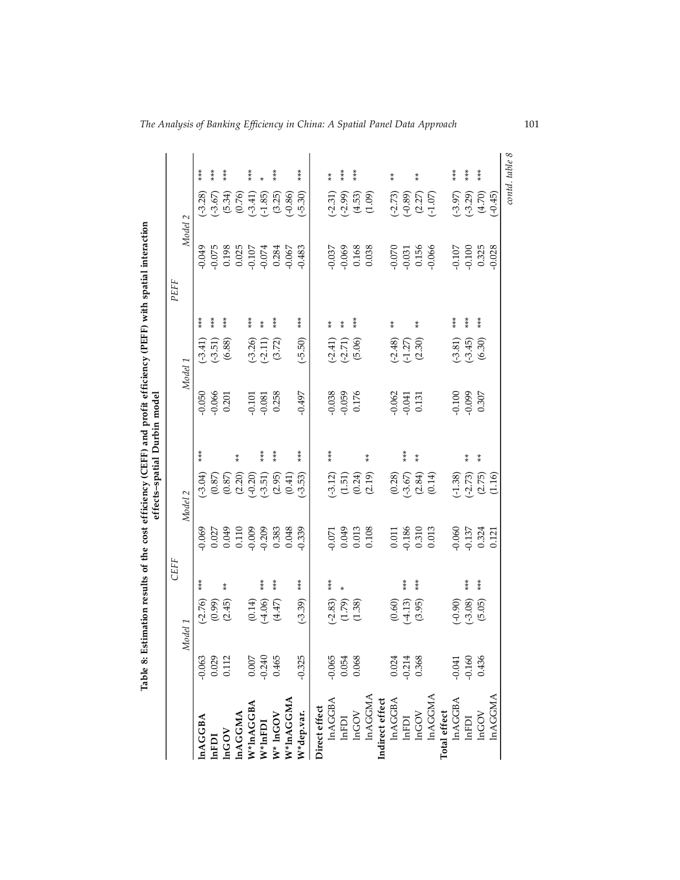| Model 2<br>0.325<br>670.0<br>$-0.075$<br>0.198<br>$-0.067$<br>$-0.483$<br>$-0.037$<br>$-0.069$<br>0.168<br>$-0.066$<br>$-0.107$<br>$-0.100$<br>$0.025$<br>$-0.107$<br>$-0.074$<br>0.284<br>0.038<br>$-0.070$<br>0.156<br>$-0.031$<br>***<br>***<br>$***$<br>***<br>$***$<br>$***$<br>$***$<br>***<br>***<br>$***$<br>$\ddot{x}$<br>$\ddot{*}$<br>$\ddot{*}$<br>$\ddot{*}$<br>$\ddot{*}$<br>$(-5.50)$<br>(5.06)<br>$(-3.81)$<br>(6.88)<br>(3.72)<br>(6.30)<br>$(-3.26)$<br>$(-2.41)$<br>$(-2.48)$<br>(2.30)<br>$(-3.45)$<br>$(-3.51)$<br>$(-2.11)$<br>$(-2.71)$<br>$(-1.27)$<br>$(-3.41)$<br>Model 1<br>$-0.497$<br>$-0.038$<br>$-0.066$<br>$-0.100$<br>$-0.099$<br>0.258<br>$-0.059$<br>$-0.062$<br>$-0.041$<br>0.307<br>0.176<br>$-0.050$<br>$-0.101$<br>0.201<br>$-0.081$<br>0.131<br>$***$<br>$***$<br>$***$<br>***<br>$***$<br>$***$<br>$\ddot{*}$<br>$\ddot{*}$<br>$\ddot{*}$<br>$\ddot{*}$<br>$\ddot{*}$<br>(2.75)<br>$(-3.53)$<br>$(-3.12)$<br>(0.28)<br>$(-3.67)$<br>$(-1.38)$<br>$(-3.04)$<br>(0.87)<br>(2.20)<br>(2.95)<br>(0.24)<br>(2.19)<br>(2.84)<br>$(-2.73)$<br>(0.87)<br>$(-0.20)$<br>$(-3.51)$<br>(0.41)<br>(1.51)<br>(0.14)<br>Model 2<br>$-0.060$<br>0.310<br>0.048<br>$-0.339$<br>0.049<br>0.013<br>$-0.186$<br>0.013<br>$-0.137$<br>0.027<br>0.049<br>0.110<br>$-0.009$<br>$-0.209$<br>0.383<br>0.108<br>0.324<br>$-0.069$<br>$-0.071$<br>0.011<br>***<br>$***$<br>$***$<br>$***$<br>$***$<br>***<br>$***$<br>$***$<br>***<br>$\ddot{*}$<br>$\star$<br>$(-2.83)$<br>$(-3.39)$<br>(2.45)<br>$(-4.06)$<br>(4.47)<br>(1.79)<br>$(-4.13)$<br>$(-3.08)$<br>(5.05)<br>$(-0.90)$<br>$(-2.76)$<br>(0.99)<br>(0.14)<br>(0.60)<br>(3.95)<br>(1.38)<br>Model 1<br>$-0.325$<br>$-0.065$<br>0.029<br>0.112<br>0.465<br>$-0.214$<br>0.368<br>$-0.041$<br>$-0.160$<br>0.436<br>$-0.063$<br>$0.007$<br>$-0.240$<br>0.054<br>0.068<br>0.024<br>InGOV<br>InAGGMA<br>lnAGGMA<br>Total effect<br>$\frac{1 \text{nAGGBA}}{1 \text{nFDI}}$<br>$\rm W^*$ lnGOV<br>$\rm W^*$ lnAGGMA<br><b>InAGGBA</b><br>$\begin{array}{ll} \textbf{Indirect effect}\\ \textbf{InACGBA} \end{array}$<br>$\begin{array}{ll} \text{W*}\text{lnAGGBA}\\ \text{W*}\text{lnFDI} \end{array}$<br>Direct effect<br>W*dep.var.<br>$\begin{array}{lcl} \text{InFDI} \\ \text{InGOV} \end{array}$<br>InGV<br><b>hAGGMA</b><br><b>InAGGBA</b><br>$In$ FDI<br>InGOV<br>Idirul |         | <b>CEFF</b> |       | effects-spatial Durbin model |  |  | PEFF     |           |        |
|--------------------------------------------------------------------------------------------------------------------------------------------------------------------------------------------------------------------------------------------------------------------------------------------------------------------------------------------------------------------------------------------------------------------------------------------------------------------------------------------------------------------------------------------------------------------------------------------------------------------------------------------------------------------------------------------------------------------------------------------------------------------------------------------------------------------------------------------------------------------------------------------------------------------------------------------------------------------------------------------------------------------------------------------------------------------------------------------------------------------------------------------------------------------------------------------------------------------------------------------------------------------------------------------------------------------------------------------------------------------------------------------------------------------------------------------------------------------------------------------------------------------------------------------------------------------------------------------------------------------------------------------------------------------------------------------------------------------------------------------------------------------------------------------------------------------------------------------------------------------------------------------------------------------------------------------------------------------------------------------------------------------------------------------------------------------------------------------------------------------------------------------------------------------------------------------------------------------------------------------------------------------------------------------------------------------------------------------------|---------|-------------|-------|------------------------------|--|--|----------|-----------|--------|
|                                                                                                                                                                                                                                                                                                                                                                                                                                                                                                                                                                                                                                                                                                                                                                                                                                                                                                                                                                                                                                                                                                                                                                                                                                                                                                                                                                                                                                                                                                                                                                                                                                                                                                                                                                                                                                                                                                                                                                                                                                                                                                                                                                                                                                                                                                                                                  |         |             |       |                              |  |  |          |           |        |
|                                                                                                                                                                                                                                                                                                                                                                                                                                                                                                                                                                                                                                                                                                                                                                                                                                                                                                                                                                                                                                                                                                                                                                                                                                                                                                                                                                                                                                                                                                                                                                                                                                                                                                                                                                                                                                                                                                                                                                                                                                                                                                                                                                                                                                                                                                                                                  |         |             |       |                              |  |  |          | $(-3.28)$ | ***    |
|                                                                                                                                                                                                                                                                                                                                                                                                                                                                                                                                                                                                                                                                                                                                                                                                                                                                                                                                                                                                                                                                                                                                                                                                                                                                                                                                                                                                                                                                                                                                                                                                                                                                                                                                                                                                                                                                                                                                                                                                                                                                                                                                                                                                                                                                                                                                                  |         |             |       |                              |  |  |          | $(-3.67)$ | ***    |
|                                                                                                                                                                                                                                                                                                                                                                                                                                                                                                                                                                                                                                                                                                                                                                                                                                                                                                                                                                                                                                                                                                                                                                                                                                                                                                                                                                                                                                                                                                                                                                                                                                                                                                                                                                                                                                                                                                                                                                                                                                                                                                                                                                                                                                                                                                                                                  |         |             |       |                              |  |  |          | (5.34)    | ***    |
|                                                                                                                                                                                                                                                                                                                                                                                                                                                                                                                                                                                                                                                                                                                                                                                                                                                                                                                                                                                                                                                                                                                                                                                                                                                                                                                                                                                                                                                                                                                                                                                                                                                                                                                                                                                                                                                                                                                                                                                                                                                                                                                                                                                                                                                                                                                                                  |         |             |       |                              |  |  |          | (0.76)    |        |
|                                                                                                                                                                                                                                                                                                                                                                                                                                                                                                                                                                                                                                                                                                                                                                                                                                                                                                                                                                                                                                                                                                                                                                                                                                                                                                                                                                                                                                                                                                                                                                                                                                                                                                                                                                                                                                                                                                                                                                                                                                                                                                                                                                                                                                                                                                                                                  |         |             |       |                              |  |  |          | $(-3.41)$ | $***$  |
|                                                                                                                                                                                                                                                                                                                                                                                                                                                                                                                                                                                                                                                                                                                                                                                                                                                                                                                                                                                                                                                                                                                                                                                                                                                                                                                                                                                                                                                                                                                                                                                                                                                                                                                                                                                                                                                                                                                                                                                                                                                                                                                                                                                                                                                                                                                                                  |         |             |       |                              |  |  |          | $(-1.85)$ |        |
|                                                                                                                                                                                                                                                                                                                                                                                                                                                                                                                                                                                                                                                                                                                                                                                                                                                                                                                                                                                                                                                                                                                                                                                                                                                                                                                                                                                                                                                                                                                                                                                                                                                                                                                                                                                                                                                                                                                                                                                                                                                                                                                                                                                                                                                                                                                                                  |         |             |       |                              |  |  |          | (3.25)    | ***    |
|                                                                                                                                                                                                                                                                                                                                                                                                                                                                                                                                                                                                                                                                                                                                                                                                                                                                                                                                                                                                                                                                                                                                                                                                                                                                                                                                                                                                                                                                                                                                                                                                                                                                                                                                                                                                                                                                                                                                                                                                                                                                                                                                                                                                                                                                                                                                                  |         |             |       |                              |  |  |          | $(-0.86)$ |        |
|                                                                                                                                                                                                                                                                                                                                                                                                                                                                                                                                                                                                                                                                                                                                                                                                                                                                                                                                                                                                                                                                                                                                                                                                                                                                                                                                                                                                                                                                                                                                                                                                                                                                                                                                                                                                                                                                                                                                                                                                                                                                                                                                                                                                                                                                                                                                                  |         |             |       |                              |  |  |          | $(-5.30)$ | ***    |
|                                                                                                                                                                                                                                                                                                                                                                                                                                                                                                                                                                                                                                                                                                                                                                                                                                                                                                                                                                                                                                                                                                                                                                                                                                                                                                                                                                                                                                                                                                                                                                                                                                                                                                                                                                                                                                                                                                                                                                                                                                                                                                                                                                                                                                                                                                                                                  |         |             |       |                              |  |  |          |           |        |
|                                                                                                                                                                                                                                                                                                                                                                                                                                                                                                                                                                                                                                                                                                                                                                                                                                                                                                                                                                                                                                                                                                                                                                                                                                                                                                                                                                                                                                                                                                                                                                                                                                                                                                                                                                                                                                                                                                                                                                                                                                                                                                                                                                                                                                                                                                                                                  |         |             |       |                              |  |  |          | $(-2.31)$ | $\ast$ |
|                                                                                                                                                                                                                                                                                                                                                                                                                                                                                                                                                                                                                                                                                                                                                                                                                                                                                                                                                                                                                                                                                                                                                                                                                                                                                                                                                                                                                                                                                                                                                                                                                                                                                                                                                                                                                                                                                                                                                                                                                                                                                                                                                                                                                                                                                                                                                  |         |             |       |                              |  |  |          | $(-2.99)$ | ***    |
|                                                                                                                                                                                                                                                                                                                                                                                                                                                                                                                                                                                                                                                                                                                                                                                                                                                                                                                                                                                                                                                                                                                                                                                                                                                                                                                                                                                                                                                                                                                                                                                                                                                                                                                                                                                                                                                                                                                                                                                                                                                                                                                                                                                                                                                                                                                                                  |         |             |       |                              |  |  |          | (4.53)    | $***$  |
|                                                                                                                                                                                                                                                                                                                                                                                                                                                                                                                                                                                                                                                                                                                                                                                                                                                                                                                                                                                                                                                                                                                                                                                                                                                                                                                                                                                                                                                                                                                                                                                                                                                                                                                                                                                                                                                                                                                                                                                                                                                                                                                                                                                                                                                                                                                                                  |         |             |       |                              |  |  |          | (1.09)    |        |
|                                                                                                                                                                                                                                                                                                                                                                                                                                                                                                                                                                                                                                                                                                                                                                                                                                                                                                                                                                                                                                                                                                                                                                                                                                                                                                                                                                                                                                                                                                                                                                                                                                                                                                                                                                                                                                                                                                                                                                                                                                                                                                                                                                                                                                                                                                                                                  |         |             |       |                              |  |  |          |           |        |
|                                                                                                                                                                                                                                                                                                                                                                                                                                                                                                                                                                                                                                                                                                                                                                                                                                                                                                                                                                                                                                                                                                                                                                                                                                                                                                                                                                                                                                                                                                                                                                                                                                                                                                                                                                                                                                                                                                                                                                                                                                                                                                                                                                                                                                                                                                                                                  |         |             |       |                              |  |  |          | $(-2.73)$ | $\ast$ |
|                                                                                                                                                                                                                                                                                                                                                                                                                                                                                                                                                                                                                                                                                                                                                                                                                                                                                                                                                                                                                                                                                                                                                                                                                                                                                                                                                                                                                                                                                                                                                                                                                                                                                                                                                                                                                                                                                                                                                                                                                                                                                                                                                                                                                                                                                                                                                  |         |             |       |                              |  |  |          | (9.89)    |        |
|                                                                                                                                                                                                                                                                                                                                                                                                                                                                                                                                                                                                                                                                                                                                                                                                                                                                                                                                                                                                                                                                                                                                                                                                                                                                                                                                                                                                                                                                                                                                                                                                                                                                                                                                                                                                                                                                                                                                                                                                                                                                                                                                                                                                                                                                                                                                                  |         |             |       |                              |  |  |          | (2.27)    | $*$    |
|                                                                                                                                                                                                                                                                                                                                                                                                                                                                                                                                                                                                                                                                                                                                                                                                                                                                                                                                                                                                                                                                                                                                                                                                                                                                                                                                                                                                                                                                                                                                                                                                                                                                                                                                                                                                                                                                                                                                                                                                                                                                                                                                                                                                                                                                                                                                                  |         |             |       |                              |  |  |          | $(-1.07)$ |        |
|                                                                                                                                                                                                                                                                                                                                                                                                                                                                                                                                                                                                                                                                                                                                                                                                                                                                                                                                                                                                                                                                                                                                                                                                                                                                                                                                                                                                                                                                                                                                                                                                                                                                                                                                                                                                                                                                                                                                                                                                                                                                                                                                                                                                                                                                                                                                                  |         |             |       |                              |  |  |          |           |        |
|                                                                                                                                                                                                                                                                                                                                                                                                                                                                                                                                                                                                                                                                                                                                                                                                                                                                                                                                                                                                                                                                                                                                                                                                                                                                                                                                                                                                                                                                                                                                                                                                                                                                                                                                                                                                                                                                                                                                                                                                                                                                                                                                                                                                                                                                                                                                                  |         |             |       |                              |  |  |          | $(-3.97)$ | ***    |
|                                                                                                                                                                                                                                                                                                                                                                                                                                                                                                                                                                                                                                                                                                                                                                                                                                                                                                                                                                                                                                                                                                                                                                                                                                                                                                                                                                                                                                                                                                                                                                                                                                                                                                                                                                                                                                                                                                                                                                                                                                                                                                                                                                                                                                                                                                                                                  |         |             |       |                              |  |  |          | $(-3.29)$ | ***    |
|                                                                                                                                                                                                                                                                                                                                                                                                                                                                                                                                                                                                                                                                                                                                                                                                                                                                                                                                                                                                                                                                                                                                                                                                                                                                                                                                                                                                                                                                                                                                                                                                                                                                                                                                                                                                                                                                                                                                                                                                                                                                                                                                                                                                                                                                                                                                                  |         |             |       |                              |  |  |          | (4.70)    | ***    |
|                                                                                                                                                                                                                                                                                                                                                                                                                                                                                                                                                                                                                                                                                                                                                                                                                                                                                                                                                                                                                                                                                                                                                                                                                                                                                                                                                                                                                                                                                                                                                                                                                                                                                                                                                                                                                                                                                                                                                                                                                                                                                                                                                                                                                                                                                                                                                  | InAGGMA |             | 0.121 | (1.16)                       |  |  | $-0.028$ | $(-0.45)$ |        |

*The Analysis of Banking Efficiency in China: A Spatial Panel Data Approach* 101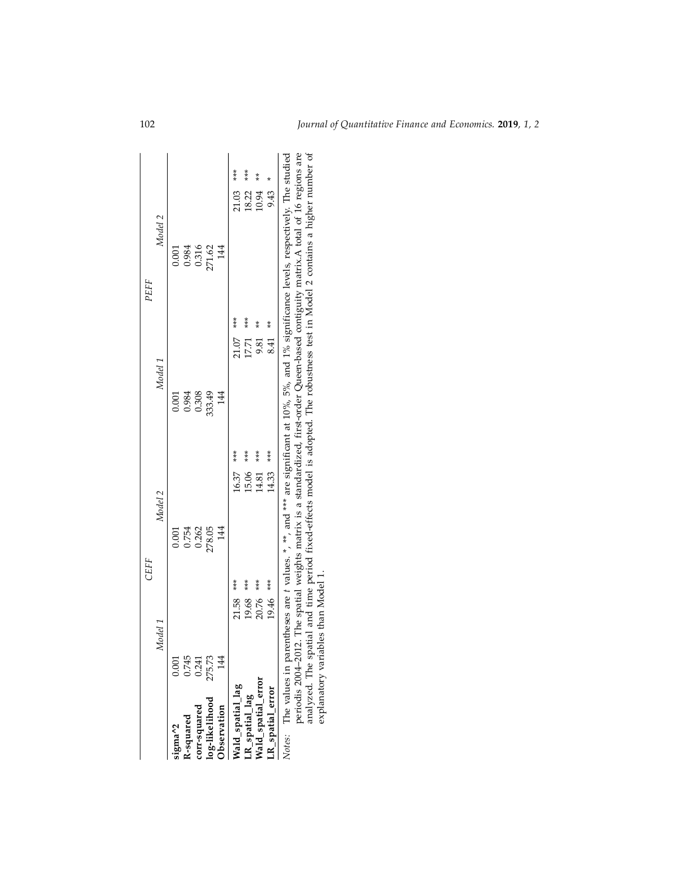|                                      |                                    | CEFF           |                |         | PEFF                                                                                                                                                                                                                                                                                                                                                                                                                       |
|--------------------------------------|------------------------------------|----------------|----------------|---------|----------------------------------------------------------------------------------------------------------------------------------------------------------------------------------------------------------------------------------------------------------------------------------------------------------------------------------------------------------------------------------------------------------------------------|
|                                      | Model 1                            |                | Model 2        | Model 1 | Model 2                                                                                                                                                                                                                                                                                                                                                                                                                    |
| igma^2                               |                                    |                | 0.001          | 0.001   | 0.001                                                                                                                                                                                                                                                                                                                                                                                                                      |
| R-squared                            | 0.745                              |                | 0.754          | 0.984   | 0.984                                                                                                                                                                                                                                                                                                                                                                                                                      |
| orr-squared                          | 0.241                              |                | 0.262          | 0.308   | 0.316                                                                                                                                                                                                                                                                                                                                                                                                                      |
| log-likelihood                       | 275.73                             |                | 278.05         | 333.49  | 271.62                                                                                                                                                                                                                                                                                                                                                                                                                     |
| <b>Jbservation</b>                   |                                    |                | 144            | 144     | 144                                                                                                                                                                                                                                                                                                                                                                                                                        |
| Wald_spatial_lag                     |                                    | 21.58 ***      | ***<br>$16.37$ | 21.07   | ***<br>21.03<br>***                                                                                                                                                                                                                                                                                                                                                                                                        |
|                                      |                                    | $***$<br>19.68 | $***$<br>15.06 | 17.71   | $***$<br>18.22<br>$***$                                                                                                                                                                                                                                                                                                                                                                                                    |
| LR_spatial_lag<br>Wald_spatial_error |                                    | ***<br>20.76   | $***$<br>14.81 | 9.81    | $*$<br>10.94<br>$\ddot{*}$                                                                                                                                                                                                                                                                                                                                                                                                 |
| R_spatial_error                      |                                    | 19.46 ***      | ***<br>14.33   | 8.41    | 9.43<br>$*$                                                                                                                                                                                                                                                                                                                                                                                                                |
|                                      |                                    |                |                |         | analyzed. The spatial and time period fixed-effects model is adopted. The robustness test in Model 2 contains a higher number of<br>periodis 2004-2012. The spatial weights matrix is a standardized, first-order Queen-based contiguity matrix.A total of 16 regions are<br>Notes: The values in parentheses are t values.*,**, and *** are significant at 10%, 5%, and 1% significance levels, respectively. The studied |
|                                      | explanatory variables than Model 1 |                |                |         |                                                                                                                                                                                                                                                                                                                                                                                                                            |

| periodis 2004-2012. The spatial weights matrix is a standardized, first-order Queen-based contiguity matrix.A total of 16 regions a               | analyzed. The spatial and time period fixed-effects model is adopted. The robustness test in Model 2 contains a higher number |
|---------------------------------------------------------------------------------------------------------------------------------------------------|-------------------------------------------------------------------------------------------------------------------------------|
| The values in parentheses are t values. *, *, and *** are significant at $10\%$ , $5\%$ , and $1\%$ significance levels, respectively. The studi- | natory variables than Model 1.                                                                                                |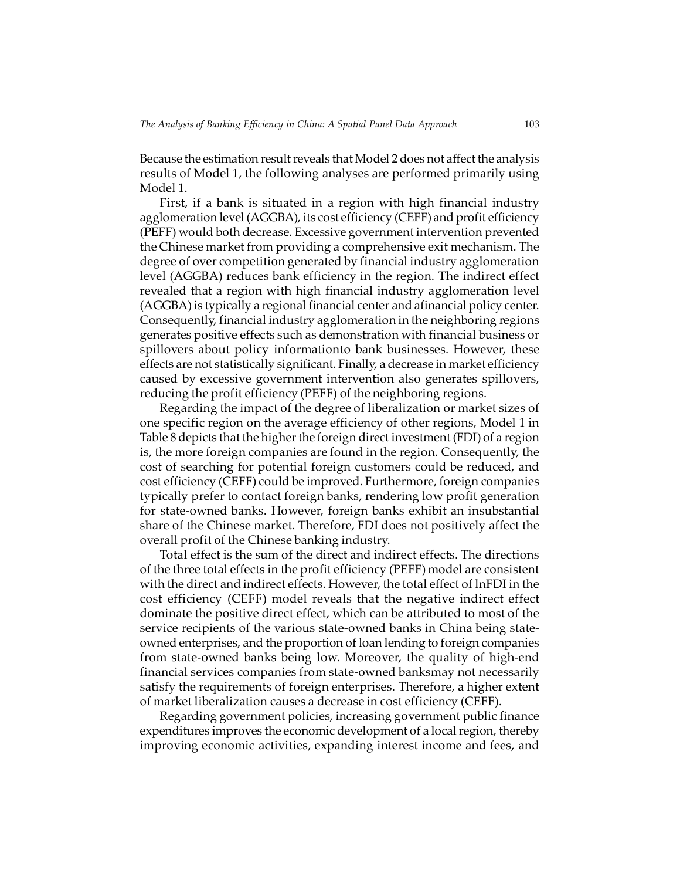Because the estimation result reveals that Model 2 does not affect the analysis results of Model 1, the following analyses are performed primarily using Model 1.

First, if a bank is situated in a region with high financial industry agglomeration level (AGGBA), its cost efficiency (CEFF) and profit efficiency (PEFF) would both decrease. Excessive government intervention prevented the Chinese market from providing a comprehensive exit mechanism. The degree of over competition generated by financial industry agglomeration level (AGGBA) reduces bank efficiency in the region. The indirect effect revealed that a region with high financial industry agglomeration level (AGGBA) is typically a regional financial center and afinancial policy center. Consequently, financial industry agglomeration in the neighboring regions generates positive effects such as demonstration with financial business or spillovers about policy informationto bank businesses. However, these effects are not statistically significant. Finally, a decrease in market efficiency caused by excessive government intervention also generates spillovers, reducing the profit efficiency (PEFF) of the neighboring regions.

Regarding the impact of the degree of liberalization or market sizes of one specific region on the average efficiency of other regions, Model 1 in Table 8 depicts that the higher the foreign direct investment (FDI) of a region is, the more foreign companies are found in the region. Consequently, the cost of searching for potential foreign customers could be reduced, and cost efficiency (CEFF) could be improved. Furthermore, foreign companies typically prefer to contact foreign banks, rendering low profit generation for state-owned banks. However, foreign banks exhibit an insubstantial share of the Chinese market. Therefore, FDI does not positively affect the overall profit of the Chinese banking industry.

Total effect is the sum of the direct and indirect effects. The directions of the three total effects in the profit efficiency (PEFF) model are consistent with the direct and indirect effects. However, the total effect of lnFDI in the cost efficiency (CEFF) model reveals that the negative indirect effect dominate the positive direct effect, which can be attributed to most of the service recipients of the various state-owned banks in China being stateowned enterprises, and the proportion of loan lending to foreign companies from state-owned banks being low. Moreover, the quality of high-end financial services companies from state-owned banksmay not necessarily satisfy the requirements of foreign enterprises. Therefore, a higher extent of market liberalization causes a decrease in cost efficiency (CEFF).

Regarding government policies, increasing government public finance expenditures improves the economic development of a local region, thereby improving economic activities, expanding interest income and fees, and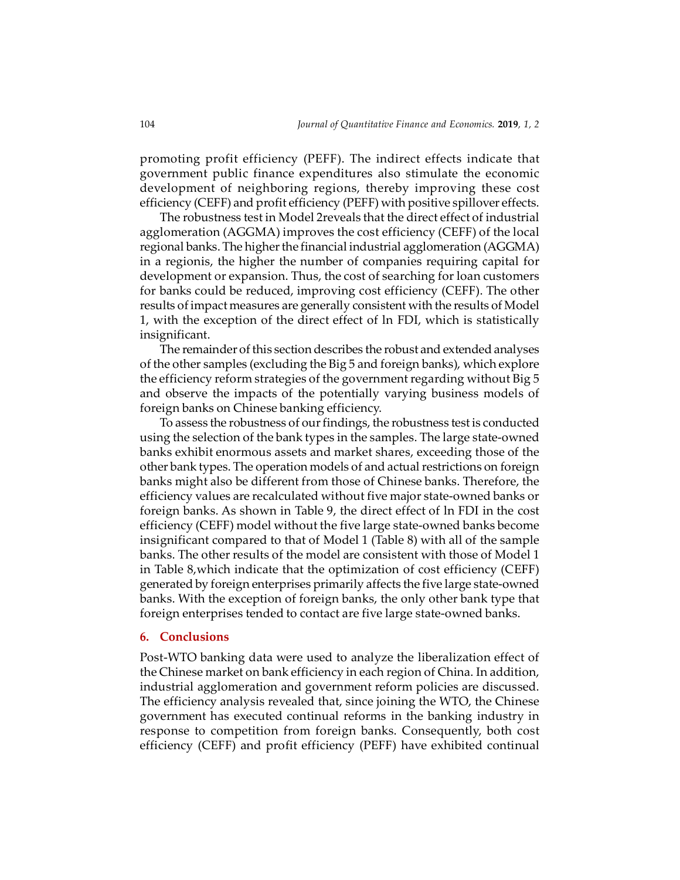promoting profit efficiency (PEFF). The indirect effects indicate that government public finance expenditures also stimulate the economic development of neighboring regions, thereby improving these cost efficiency (CEFF) and profit efficiency (PEFF) with positive spillover effects.

The robustness test in Model 2reveals that the direct effect of industrial agglomeration (AGGMA) improves the cost efficiency (CEFF) of the local regional banks. The higher the financial industrial agglomeration (AGGMA) in a regionis, the higher the number of companies requiring capital for development or expansion. Thus, the cost of searching for loan customers for banks could be reduced, improving cost efficiency (CEFF). The other results of impact measures are generally consistent with the results of Model 1, with the exception of the direct effect of ln FDI, which is statistically insignificant.

The remainder of this section describes the robust and extended analyses of the other samples (excluding the Big 5 and foreign banks), which explore the efficiency reform strategies of the government regarding without Big 5 and observe the impacts of the potentially varying business models of foreign banks on Chinese banking efficiency.

To assess the robustness of our findings, the robustness test is conducted using the selection of the bank types in the samples. The large state-owned banks exhibit enormous assets and market shares, exceeding those of the other bank types. The operation models of and actual restrictions on foreign banks might also be different from those of Chinese banks. Therefore, the efficiency values are recalculated without five major state-owned banks or foreign banks. As shown in Table 9, the direct effect of ln FDI in the cost efficiency (CEFF) model without the five large state-owned banks become insignificant compared to that of Model 1 (Table 8) with all of the sample banks. The other results of the model are consistent with those of Model 1 in Table 8,which indicate that the optimization of cost efficiency (CEFF) generated by foreign enterprises primarily affects the five large state-owned banks. With the exception of foreign banks, the only other bank type that foreign enterprises tended to contact are five large state-owned banks.

## **6. Conclusions**

Post-WTO banking data were used to analyze the liberalization effect of the Chinese market on bank efficiency in each region of China. In addition, industrial agglomeration and government reform policies are discussed. The efficiency analysis revealed that, since joining the WTO, the Chinese government has executed continual reforms in the banking industry in response to competition from foreign banks. Consequently, both cost efficiency (CEFF) and profit efficiency (PEFF) have exhibited continual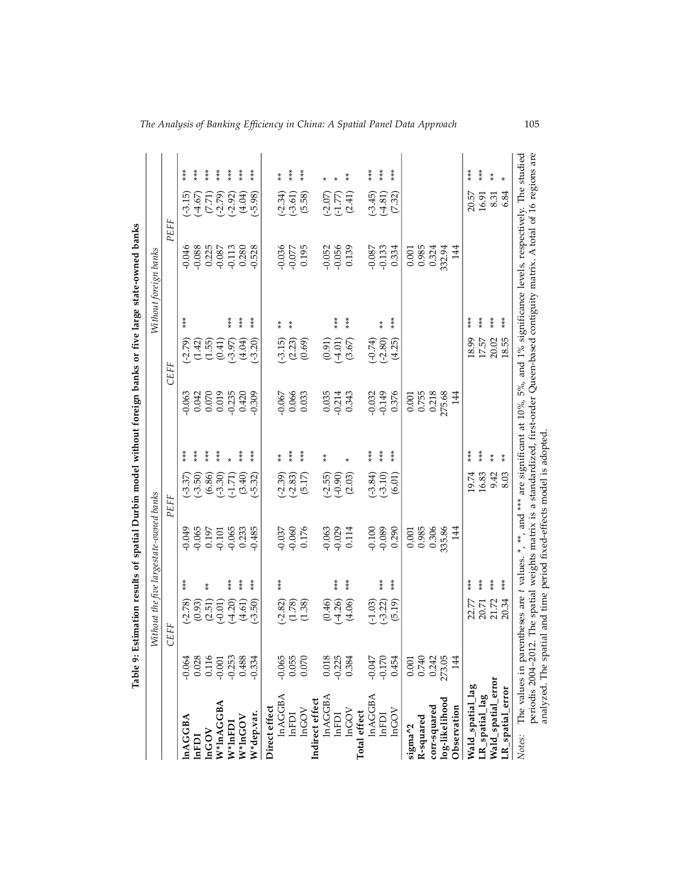|                                  |                            |          |                        |            |          |             |                          | Without foreign banks |           |            |
|----------------------------------|----------------------------|----------|------------------------|------------|----------|-------------|--------------------------|-----------------------|-----------|------------|
|                                  | <b>CEFF</b>                |          | PEFF                   |            |          | <b>CEFF</b> |                          |                       | PEFF      |            |
| $-0.064$<br>I <sub>n</sub> AGGBA | $(-2.78)$                  | $-0.049$ |                        | $***$      | $-0.063$ | $(-2.79)$   | $***$                    | $-0.046$              | $(-3.15)$ | $***$      |
| 0.028<br>In FDI                  | (0.93)                     | $-0.065$ | $(-3.37)$<br>$(-3.50)$ | $***$      | 0.042    | (1.42)      |                          | $-0.088$              | $(-4.67)$ | ***        |
| 0.116<br>$InGOV$                 | $*$<br>(2.51)              | 0.197    | (6.86)                 | ***        | 0.070    | (1.55)      |                          | 0.225                 | (7.71)    | $***$      |
| $-0.001$<br>$W^*$ ln $AGGBA$     | $(-0.01)$                  | $-0.101$ | $(-3.30)$              | $***$      | 0.019    | (0.41)      |                          | $-0.087$              | $(-2.79)$ | ***        |
| $-0.253$<br>$W^*$ In $FD$        | $***$<br>$(-4.20)$         | $-0.065$ | $(-1.71)$              |            | $-0.235$ | $(-3.97)$   | $***$                    | $-0.113$              | $(-2.92)$ | $***$      |
| 0.488<br>$W^*$ ln $GOV$          | $***$<br>(4.61)            | 0.233    | (3.40)                 | $***$      | 0.420    | (4.04)      | $***$                    | 0.280                 | (4.04)    | $***$      |
| $-0.334$<br>W*dep.var.           | $***$<br>$(-3.50)$         | 0.485    | $-5.32$                | $* \ast$   | 0.309    | $(-3.20)$   | $***$                    | 0.528                 | $(-5.98)$ | $***$      |
| Direct effect                    |                            |          |                        |            |          |             |                          |                       |           |            |
| $-0.065$<br>IMAGGBA              | ***<br>$(-2.82)$           | $-0.037$ | $(-2.39)$              | ŧ          | $-0.067$ | $(-3.15)$   | $\ddot{*}$               | $-0.036$              | $(-2.34)$ | $\ddot{*}$ |
| 0.055<br>InFDI                   | (1.78)                     | $-0.060$ | $(-2.83)$              | $***$      | 0.066    | (2.23)      | $\ddot{*}$               | $-0.077$              | $(-3.61)$ | $***$      |
| 0.070<br>InGV                    | (1.38)                     | 0.176    | (5.17)                 | $***$      | 0.033    | (0.69)      |                          | 0.195                 | (5.58)    | $***$      |
| Indirect effect                  |                            |          |                        |            |          |             |                          |                       |           |            |
| 0.018<br><b>InAGGBA</b>          |                            | $-0.063$ |                        | \$         | 0.035    |             |                          | $-0.052$              | $(-2.07)$ | ÷          |
| $-0.225$<br>InFDI                | ***<br>$(0.46)$<br>(-4.26) | $-0.029$ | $(-2.55)$<br>$(-0.90)$ |            | $-0.214$ | (10.91)     | $***$                    | $-0.056$              | $(-1.77)$ | $\star$    |
| 0.384<br>InGOV                   | $***$<br>(4.06)            | 0.114    | (2.03)                 |            | 0.343    | (3.67)      | $***$                    | 0.139                 | (2.41)    | $\ddot{*}$ |
| Total effect                     |                            |          |                        |            |          |             |                          |                       |           |            |
| $-0.047$<br><b>AGGBA</b>         | $(-1.03)$                  | $-0.100$ | $(-3.84)$              | $***$      | $-0.032$ | $(-0.74)$   |                          | $-0.087$              | $(-3.45)$ | $***$      |
| $-0.170$<br>InFDI                | $***$<br>$(-3.22)$         | $-0.089$ | $(-3.10)$              | $***$      | $-0.149$ | $(-2.80)$   | $\ddot{*}$               | $-0.133$              | $(-4.81)$ | $***$      |
| 0.454<br>InGOV                   | ***<br>(5.19)              | 0.290    | (6.01)                 | $***$      | 0.376    | (4.25)      | ***                      | 0.334                 | (7.32)    | ***        |
| 0.001<br>sigma^2                 |                            | 0.001    |                        |            | 0.001    |             |                          | 0.001                 |           |            |
| 0.740<br>R-squared               |                            | 0.985    |                        |            | 0.755    |             |                          | 0.985                 |           |            |
| 0.242<br>corr-squared            |                            | 0.306    |                        |            | 0.218    |             |                          | 0.324                 |           |            |
| 273.05<br>log-likelihood         |                            | 335.86   |                        |            | 275.68   |             |                          | 332.94                |           |            |
| 14<br>Observation                |                            | 144      |                        |            | 144      |             |                          | 144                   |           |            |
| Wald_spatial_lag                 | $***$<br>22.77             |          | 19.74                  | $***$      |          | 18.99       | $***$                    |                       | 20.57     | ***        |
| R_spatial_lag                    | ***<br>20.71               |          | 16.83                  | $***$      |          | 17.57       | ***                      |                       | 16.91     | ***        |
| Wald_spatial_error               | $***$<br>21.72             |          | $9.42$<br>8.03         | $\ddot{*}$ |          | 20.02       | $***$                    |                       | 8.31      | $\ddot{*}$ |
| R_spatial_error                  | $***$<br>20.34             |          |                        | $\ddot{*}$ |          | 18.55       | $\stackrel{\star}{\ast}$ |                       | 6.84      | $\star$    |

Table 9: Estimation results of spatial Durbin model without foreion banks or five large state-owned banks **Table 9: Estimation results of spatial Durbin model without foreign banks or five large stateowned banks**

*The Analysis of Banking Efficiency in China: A Spatial Panel Data Approach* 105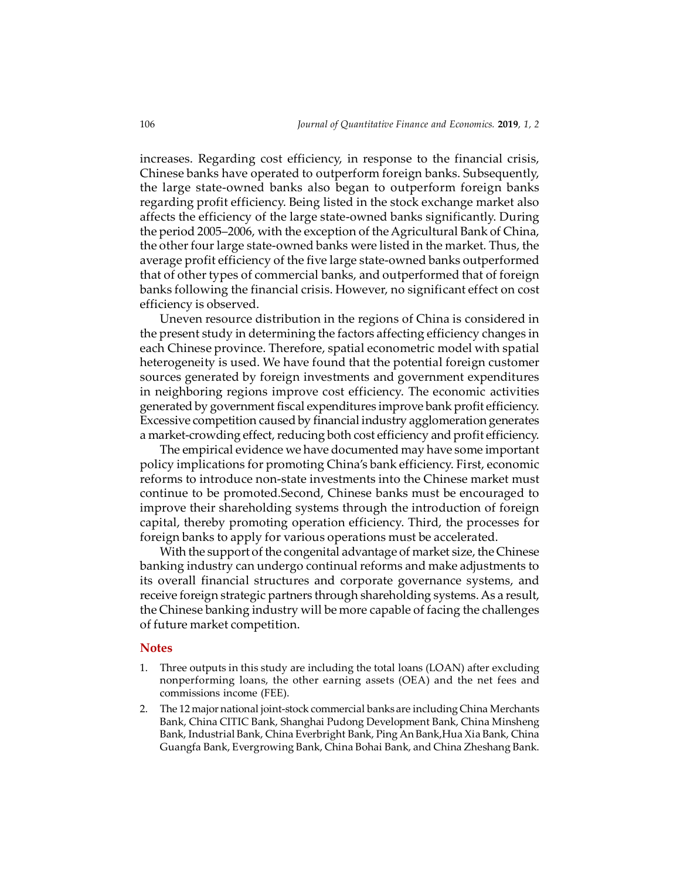increases. Regarding cost efficiency, in response to the financial crisis, Chinese banks have operated to outperform foreign banks. Subsequently, the large state-owned banks also began to outperform foreign banks regarding profit efficiency. Being listed in the stock exchange market also affects the efficiency of the large state-owned banks significantly. During the period 2005–2006, with the exception of the Agricultural Bank of China, the other four large state-owned banks were listed in the market. Thus, the average profit efficiency of the five large state-owned banks outperformed that of other types of commercial banks, and outperformed that of foreign banks following the financial crisis. However, no significant effect on cost efficiency is observed.

Uneven resource distribution in the regions of China is considered in the present study in determining the factors affecting efficiency changes in each Chinese province. Therefore, spatial econometric model with spatial heterogeneity is used. We have found that the potential foreign customer sources generated by foreign investments and government expenditures in neighboring regions improve cost efficiency. The economic activities generated by government fiscal expenditures improve bank profit efficiency. Excessive competition caused by financial industry agglomeration generates a market-crowding effect, reducing both cost efficiency and profit efficiency.

The empirical evidence we have documented may have some important policy implications for promoting China's bank efficiency. First, economic reforms to introduce nonstate investments into the Chinese market must continue to be promoted.Second, Chinese banks must be encouraged to improve their shareholding systems through the introduction of foreign capital, thereby promoting operation efficiency. Third, the processes for foreign banks to apply for various operations must be accelerated.

With the support of the congenital advantage of market size, the Chinese banking industry can undergo continual reforms and make adjustments to its overall financial structures and corporate governance systems, and receive foreign strategic partners through shareholding systems. As a result, the Chinese banking industry will be more capable of facing the challenges of future market competition.

#### **Notes**

- 1. Three outputs in this study are including the total loans (LOAN) after excluding nonperforming loans, the other earning assets (OEA) and the net fees and commissions income (FEE).
- 2. The 12 major national joint-stock commercial banks are including China Merchants Bank, China CITIC Bank, Shanghai Pudong Development Bank, China Minsheng Bank, Industrial Bank, China Everbright Bank, Ping An Bank,Hua Xia Bank, China Guangfa Bank, Evergrowing Bank, China Bohai Bank, and China Zheshang Bank.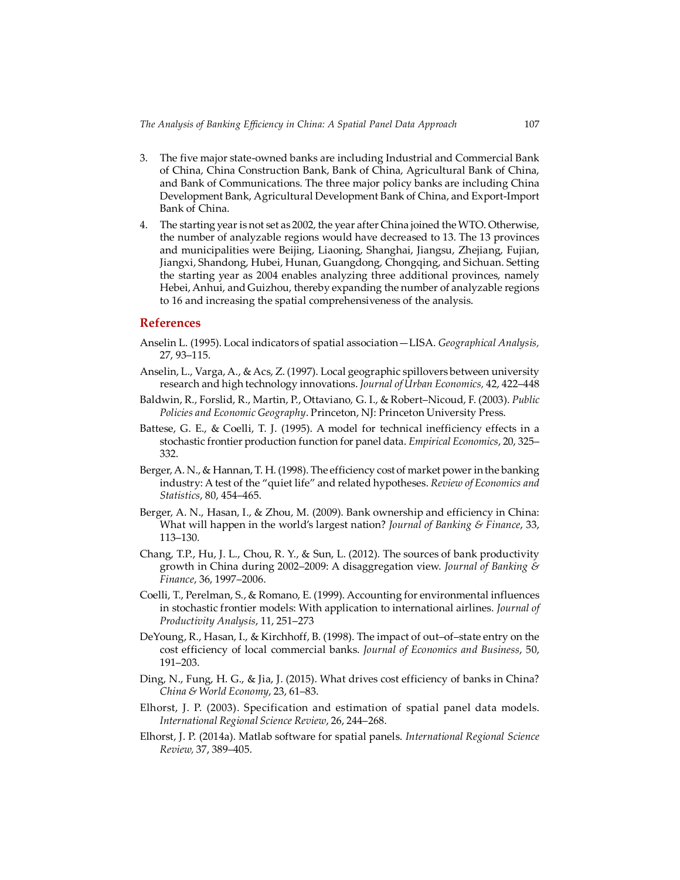- 3. The five major state-owned banks are including Industrial and Commercial Bank of China, China Construction Bank, Bank of China, Agricultural Bank of China, and Bank of Communications. The three major policy banks are including China Development Bank, Agricultural Development Bank of China, and Export-Import Bank of China.
- 4. The starting year is not set as 2002, the year after China joined the WTO. Otherwise, the number of analyzable regions would have decreased to 13. The 13 provinces and municipalities were Beijing, Liaoning, Shanghai, Jiangsu, Zhejiang, Fujian, Jiangxi, Shandong, Hubei, Hunan, Guangdong, Chongqing, and Sichuan. Setting the starting year as 2004 enables analyzing three additional provinces, namely Hebei, Anhui, and Guizhou, thereby expanding the number of analyzable regions to 16 and increasing the spatial comprehensiveness of the analysis.

#### **References**

- Anselin L. (1995). Local indicators of spatial association—LISA. *Geographical Analysis,* 27, 93–115.
- Anselin, L., Varga, A., & Acs, Z. (1997). Local geographic spillovers between university research and high technology innovations. *Journal of Urban Economics,* 42, 422–448
- Baldwin, R., Forslid, R., Martin, P., Ottaviano, G. I., & Robert–Nicoud, F. (2003). *Public Policies and Economic Geography*. Princeton, NJ: Princeton University Press.
- Battese, G. E., & Coelli, T. J. (1995). A model for technical inefficiency effects in a stochastic frontier production function for panel data. *Empirical Economics*, 20, 325– 332.
- Berger, A. N., & Hannan, T. H. (1998). The efficiency cost of market power in the banking industry: A test of the "quiet life" and related hypotheses. *Review of Economics and Statistics*, 80, 454–465.
- Berger, A. N., Hasan, I., & Zhou, M. (2009). Bank ownership and efficiency in China: What will happen in the world's largest nation? *Journal of Banking & Finance*, 33, 113–130.
- Chang, T.P., Hu, J. L., Chou, R. Y., & Sun, L. (2012). The sources of bank productivity growth in China during 2002–2009: A disaggregation view. *Journal of Banking & Finance*, 36, 1997–2006.
- Coelli, T., Perelman, S., & Romano, E. (1999). Accounting for environmental influences in stochastic frontier models: With application to international airlines. *Journal of Productivity Analysis*, 11, 251–273
- DeYoung, R., Hasan, I., & Kirchhoff, B. (1998). The impact of out–of–state entry on the cost efficiency of local commercial banks. *Journal of Economics and Business*, 50, 191–203.
- Ding, N., Fung, H. G., & Jia, J. (2015). What drives cost efficiency of banks in China? *China & World Economy*, 23, 61–83.
- Elhorst, J. P. (2003). Specification and estimation of spatial panel data models. *International Regional Science Review*, 26, 244–268.
- Elhorst, J. P. (2014a). Matlab software for spatial panels. *International Regional Science Review,* 37, 389–405.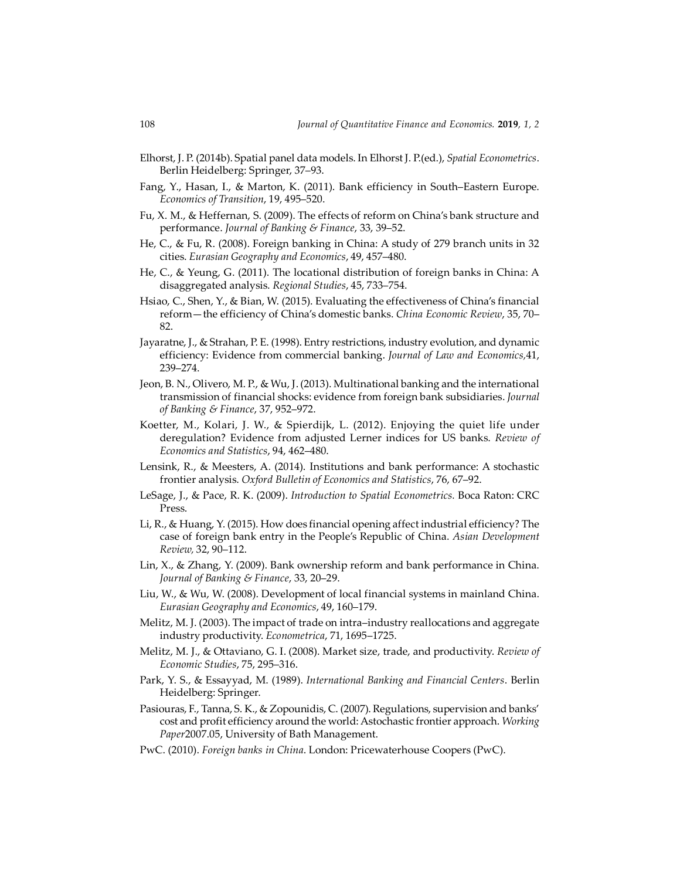- Elhorst, J. P. (2014b). Spatial panel data models. In Elhorst J. P.(ed.), *Spatial Econometrics*. Berlin Heidelberg: Springer, 37–93.
- Fang, Y., Hasan, I., & Marton, K. (2011). Bank efficiency in South–Eastern Europe. *Economics of Transition*, 19, 495–520.
- Fu, X. M., & Heffernan, S. (2009). The effects of reform on China's bank structure and performance. *Journal of Banking & Finance*, 33, 39–52.
- He, C., & Fu, R. (2008). Foreign banking in China: A study of 279 branch units in 32 cities. *Eurasian Geography and Economics*, 49, 457–480.
- He, C., & Yeung, G. (2011). The locational distribution of foreign banks in China: A disaggregated analysis. *Regional Studies*, 45, 733–754.
- Hsiao, C., Shen, Y., & Bian, W. (2015). Evaluating the effectiveness of China's financial reform—the efficiency of China's domestic banks. *China Economic Review*, 35, 70– 82.
- Jayaratne, J., & Strahan, P. E. (1998). Entry restrictions, industry evolution, and dynamic efficiency: Evidence from commercial banking. *Journal of Law and Economics,*41, 239–274.
- Jeon, B. N., Olivero, M. P., & Wu, J. (2013). Multinational banking and the international transmission of financial shocks: evidence from foreign bank subsidiaries. *Journal of Banking & Finance*, 37, 952–972.
- Koetter, M., Kolari, J. W., & Spierdijk, L. (2012). Enjoying the quiet life under deregulation? Evidence from adjusted Lerner indices for US banks. *Review of Economics and Statistics*, 94, 462–480.
- Lensink, R., & Meesters, A. (2014). Institutions and bank performance: A stochastic frontier analysis. *Oxford Bulletin of Economics and Statistics*, 76, 67–92.
- LeSage, J., & Pace, R. K. (2009). *Introduction to Spatial Econometrics.* Boca Raton: CRC Press.
- Li, R., & Huang, Y. (2015). How does financial opening affect industrial efficiency? The case of foreign bank entry in the People's Republic of China. *Asian Development Review,* 32, 90–112.
- Lin, X., & Zhang, Y. (2009). Bank ownership reform and bank performance in China. *Journal of Banking & Finance*, 33, 20–29.
- Liu, W., & Wu, W. (2008). Development of local financial systems in mainland China. *Eurasian Geography and Economics*, 49, 160–179.
- Melitz, M. J. (2003). The impact of trade on intra–industry reallocations and aggregate industry productivity. *Econometrica*, 71, 1695–1725.
- Melitz, M. J., & Ottaviano, G. I. (2008). Market size, trade, and productivity. *Review of Economic Studies*, 75, 295–316.
- Park, Y. S., & Essayyad, M. (1989). *International Banking and Financial Centers*. Berlin Heidelberg: Springer.
- Pasiouras, F., Tanna, S. K., & Zopounidis, C. (2007). Regulations, supervision and banks' cost and profit efficiency around the world: Astochastic frontier approach. *Working Paper*2007.05, University of Bath Management.
- PwC. (2010). *Foreign banks in China*. London: Pricewaterhouse Coopers (PwC).